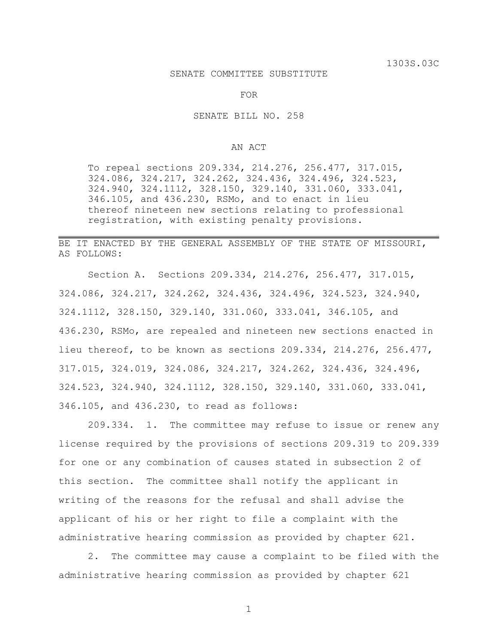## SENATE COMMITTEE SUBSTITUTE

FOR

SENATE BILL NO. 258

## AN ACT

To repeal sections 209.334, 214.276, 256.477, 317.015, 324.086, 324.217, 324.262, 324.436, 324.496, 324.523, 324.940, 324.1112, 328.150, 329.140, 331.060, 333.041, 346.105, and 436.230, RSMo, and to enact in lieu thereof nineteen new sections relating to professional registration, with existing penalty provisions.

## BE IT ENACTED BY THE GENERAL ASSEMBLY OF THE STATE OF MISSOURI, AS FOLLOWS:

Section A. Sections 209.334, 214.276, 256.477, 317.015, 324.086, 324.217, 324.262, 324.436, 324.496, 324.523, 324.940, 324.1112, 328.150, 329.140, 331.060, 333.041, 346.105, and 436.230, RSMo, are repealed and nineteen new sections enacted in lieu thereof, to be known as sections 209.334, 214.276, 256.477, 317.015, 324.019, 324.086, 324.217, 324.262, 324.436, 324.496, 324.523, 324.940, 324.1112, 328.150, 329.140, 331.060, 333.041, 346.105, and 436.230, to read as follows:

209.334. 1. The committee may refuse to issue or renew any license required by the provisions of sections 209.319 to 209.339 for one or any combination of causes stated in subsection 2 of this section. The committee shall notify the applicant in writing of the reasons for the refusal and shall advise the applicant of his or her right to file a complaint with the administrative hearing commission as provided by chapter 621.

2. The committee may cause a complaint to be filed with the administrative hearing commission as provided by chapter 621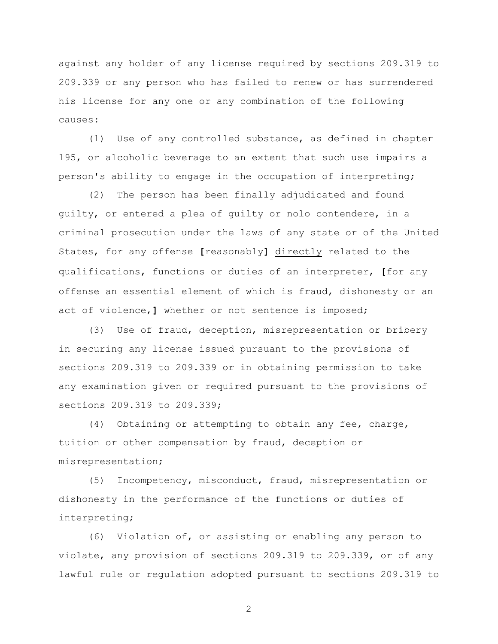against any holder of any license required by sections 209.319 to 209.339 or any person who has failed to renew or has surrendered his license for any one or any combination of the following causes:

(1) Use of any controlled substance, as defined in chapter 195, or alcoholic beverage to an extent that such use impairs a person's ability to engage in the occupation of interpreting;

(2) The person has been finally adjudicated and found guilty, or entered a plea of guilty or nolo contendere, in a criminal prosecution under the laws of any state or of the United States, for any offense **[**reasonably**]** directly related to the qualifications, functions or duties of an interpreter, **[**for any offense an essential element of which is fraud, dishonesty or an act of violence,**]** whether or not sentence is imposed;

(3) Use of fraud, deception, misrepresentation or bribery in securing any license issued pursuant to the provisions of sections 209.319 to 209.339 or in obtaining permission to take any examination given or required pursuant to the provisions of sections 209.319 to 209.339;

(4) Obtaining or attempting to obtain any fee, charge, tuition or other compensation by fraud, deception or misrepresentation;

(5) Incompetency, misconduct, fraud, misrepresentation or dishonesty in the performance of the functions or duties of interpreting;

(6) Violation of, or assisting or enabling any person to violate, any provision of sections 209.319 to 209.339, or of any lawful rule or regulation adopted pursuant to sections 209.319 to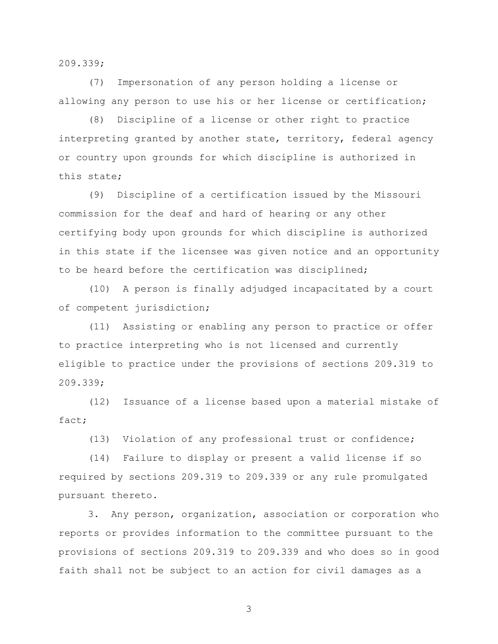209.339;

(7) Impersonation of any person holding a license or allowing any person to use his or her license or certification;

(8) Discipline of a license or other right to practice interpreting granted by another state, territory, federal agency or country upon grounds for which discipline is authorized in this state;

(9) Discipline of a certification issued by the Missouri commission for the deaf and hard of hearing or any other certifying body upon grounds for which discipline is authorized in this state if the licensee was given notice and an opportunity to be heard before the certification was disciplined;

(10) A person is finally adjudged incapacitated by a court of competent jurisdiction;

(11) Assisting or enabling any person to practice or offer to practice interpreting who is not licensed and currently eligible to practice under the provisions of sections 209.319 to 209.339;

(12) Issuance of a license based upon a material mistake of fact;

(13) Violation of any professional trust or confidence;

(14) Failure to display or present a valid license if so required by sections 209.319 to 209.339 or any rule promulgated pursuant thereto.

3. Any person, organization, association or corporation who reports or provides information to the committee pursuant to the provisions of sections 209.319 to 209.339 and who does so in good faith shall not be subject to an action for civil damages as a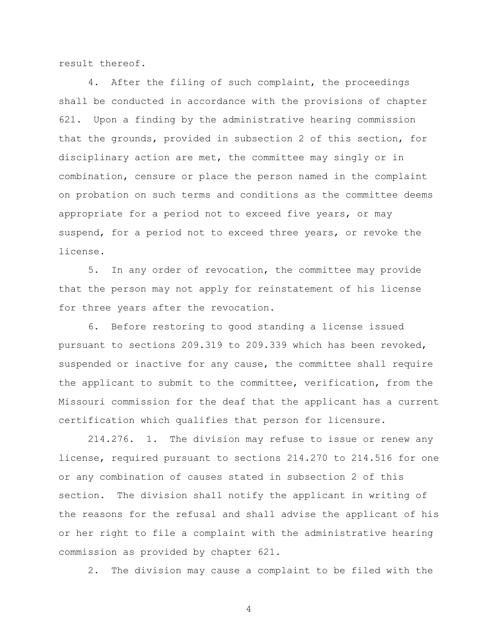result thereof.

4. After the filing of such complaint, the proceedings shall be conducted in accordance with the provisions of chapter 621. Upon a finding by the administrative hearing commission that the grounds, provided in subsection 2 of this section, for disciplinary action are met, the committee may singly or in combination, censure or place the person named in the complaint on probation on such terms and conditions as the committee deems appropriate for a period not to exceed five years, or may suspend, for a period not to exceed three years, or revoke the license.

5. In any order of revocation, the committee may provide that the person may not apply for reinstatement of his license for three years after the revocation.

6. Before restoring to good standing a license issued pursuant to sections 209.319 to 209.339 which has been revoked, suspended or inactive for any cause, the committee shall require the applicant to submit to the committee, verification, from the Missouri commission for the deaf that the applicant has a current certification which qualifies that person for licensure.

214.276. 1. The division may refuse to issue or renew any license, required pursuant to sections 214.270 to 214.516 for one or any combination of causes stated in subsection 2 of this section. The division shall notify the applicant in writing of the reasons for the refusal and shall advise the applicant of his or her right to file a complaint with the administrative hearing commission as provided by chapter 621.

2. The division may cause a complaint to be filed with the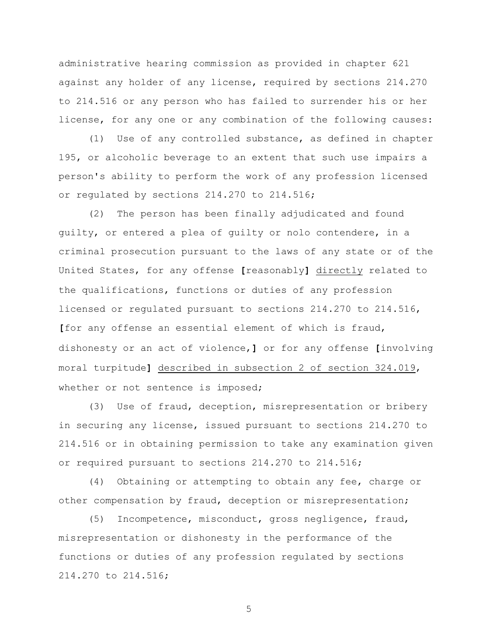administrative hearing commission as provided in chapter 621 against any holder of any license, required by sections 214.270 to 214.516 or any person who has failed to surrender his or her license, for any one or any combination of the following causes:

(1) Use of any controlled substance, as defined in chapter 195, or alcoholic beverage to an extent that such use impairs a person's ability to perform the work of any profession licensed or regulated by sections 214.270 to 214.516;

(2) The person has been finally adjudicated and found guilty, or entered a plea of guilty or nolo contendere, in a criminal prosecution pursuant to the laws of any state or of the United States, for any offense **[**reasonably**]** directly related to the qualifications, functions or duties of any profession licensed or regulated pursuant to sections 214.270 to 214.516, **[**for any offense an essential element of which is fraud, dishonesty or an act of violence,**]** or for any offense **[**involving moral turpitude**]** described in subsection 2 of section 324.019, whether or not sentence is imposed;

(3) Use of fraud, deception, misrepresentation or bribery in securing any license, issued pursuant to sections 214.270 to 214.516 or in obtaining permission to take any examination given or required pursuant to sections 214.270 to 214.516;

(4) Obtaining or attempting to obtain any fee, charge or other compensation by fraud, deception or misrepresentation;

(5) Incompetence, misconduct, gross negligence, fraud, misrepresentation or dishonesty in the performance of the functions or duties of any profession regulated by sections 214.270 to 214.516;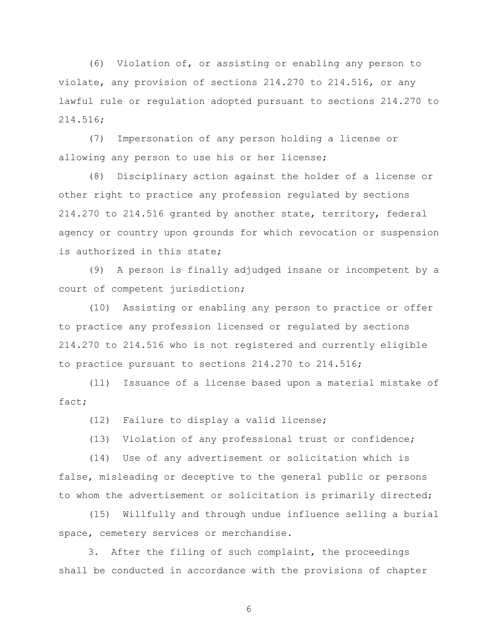(6) Violation of, or assisting or enabling any person to violate, any provision of sections 214.270 to 214.516, or any lawful rule or regulation adopted pursuant to sections 214.270 to 214.516;

(7) Impersonation of any person holding a license or allowing any person to use his or her license;

(8) Disciplinary action against the holder of a license or other right to practice any profession regulated by sections 214.270 to 214.516 granted by another state, territory, federal agency or country upon grounds for which revocation or suspension is authorized in this state;

(9) A person is finally adjudged insane or incompetent by a court of competent jurisdiction;

(10) Assisting or enabling any person to practice or offer to practice any profession licensed or regulated by sections 214.270 to 214.516 who is not registered and currently eligible to practice pursuant to sections 214.270 to 214.516;

(11) Issuance of a license based upon a material mistake of fact;

(12) Failure to display a valid license;

(13) Violation of any professional trust or confidence;

(14) Use of any advertisement or solicitation which is false, misleading or deceptive to the general public or persons to whom the advertisement or solicitation is primarily directed;

(15) Willfully and through undue influence selling a burial space, cemetery services or merchandise.

3. After the filing of such complaint, the proceedings shall be conducted in accordance with the provisions of chapter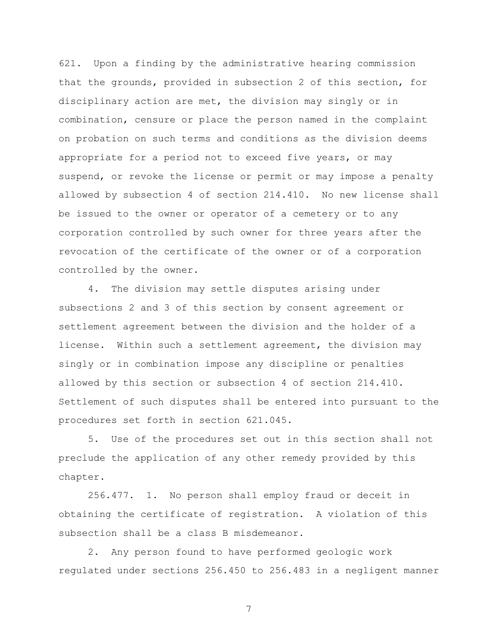621. Upon a finding by the administrative hearing commission that the grounds, provided in subsection 2 of this section, for disciplinary action are met, the division may singly or in combination, censure or place the person named in the complaint on probation on such terms and conditions as the division deems appropriate for a period not to exceed five years, or may suspend, or revoke the license or permit or may impose a penalty allowed by subsection 4 of section 214.410. No new license shall be issued to the owner or operator of a cemetery or to any corporation controlled by such owner for three years after the revocation of the certificate of the owner or of a corporation controlled by the owner.

4. The division may settle disputes arising under subsections 2 and 3 of this section by consent agreement or settlement agreement between the division and the holder of a license. Within such a settlement agreement, the division may singly or in combination impose any discipline or penalties allowed by this section or subsection 4 of section 214.410. Settlement of such disputes shall be entered into pursuant to the procedures set forth in section 621.045.

5. Use of the procedures set out in this section shall not preclude the application of any other remedy provided by this chapter.

256.477. 1. No person shall employ fraud or deceit in obtaining the certificate of registration. A violation of this subsection shall be a class B misdemeanor.

2. Any person found to have performed geologic work regulated under sections 256.450 to 256.483 in a negligent manner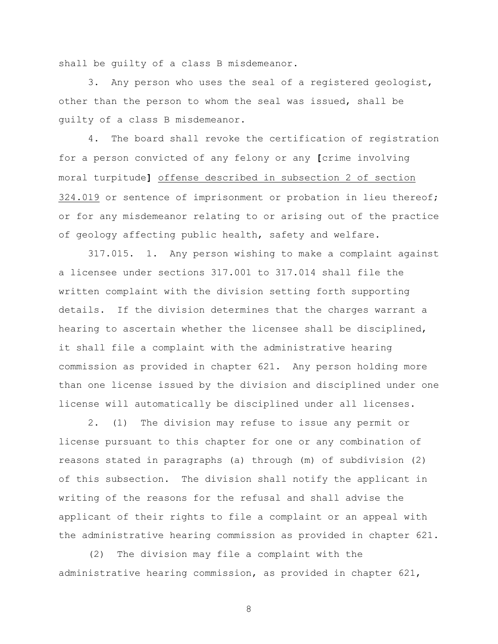shall be guilty of a class B misdemeanor.

3. Any person who uses the seal of a registered geologist, other than the person to whom the seal was issued, shall be guilty of a class B misdemeanor.

4. The board shall revoke the certification of registration for a person convicted of any felony or any **[**crime involving moral turpitude**]** offense described in subsection 2 of section 324.019 or sentence of imprisonment or probation in lieu thereof; or for any misdemeanor relating to or arising out of the practice of geology affecting public health, safety and welfare.

317.015. 1. Any person wishing to make a complaint against a licensee under sections 317.001 to 317.014 shall file the written complaint with the division setting forth supporting details. If the division determines that the charges warrant a hearing to ascertain whether the licensee shall be disciplined, it shall file a complaint with the administrative hearing commission as provided in chapter 621. Any person holding more than one license issued by the division and disciplined under one license will automatically be disciplined under all licenses.

2. (1) The division may refuse to issue any permit or license pursuant to this chapter for one or any combination of reasons stated in paragraphs (a) through (m) of subdivision (2) of this subsection. The division shall notify the applicant in writing of the reasons for the refusal and shall advise the applicant of their rights to file a complaint or an appeal with the administrative hearing commission as provided in chapter 621.

(2) The division may file a complaint with the administrative hearing commission, as provided in chapter 621,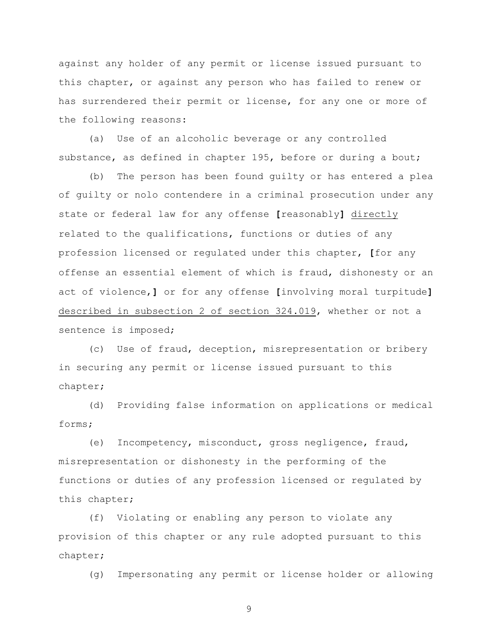against any holder of any permit or license issued pursuant to this chapter, or against any person who has failed to renew or has surrendered their permit or license, for any one or more of the following reasons:

(a) Use of an alcoholic beverage or any controlled substance, as defined in chapter 195, before or during a bout;

(b) The person has been found guilty or has entered a plea of guilty or nolo contendere in a criminal prosecution under any state or federal law for any offense **[**reasonably**]** directly related to the qualifications, functions or duties of any profession licensed or regulated under this chapter, **[**for any offense an essential element of which is fraud, dishonesty or an act of violence,**]** or for any offense **[**involving moral turpitude**]** described in subsection 2 of section 324.019, whether or not a sentence is imposed;

(c) Use of fraud, deception, misrepresentation or bribery in securing any permit or license issued pursuant to this chapter;

(d) Providing false information on applications or medical forms;

(e) Incompetency, misconduct, gross negligence, fraud, misrepresentation or dishonesty in the performing of the functions or duties of any profession licensed or regulated by this chapter;

(f) Violating or enabling any person to violate any provision of this chapter or any rule adopted pursuant to this chapter;

(g) Impersonating any permit or license holder or allowing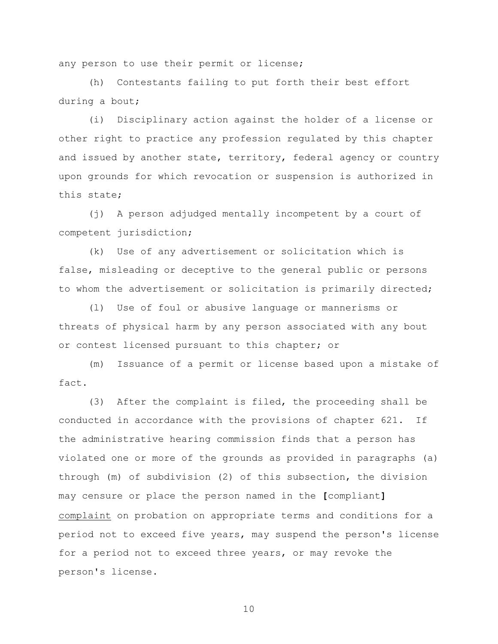any person to use their permit or license;

(h) Contestants failing to put forth their best effort during a bout;

(i) Disciplinary action against the holder of a license or other right to practice any profession regulated by this chapter and issued by another state, territory, federal agency or country upon grounds for which revocation or suspension is authorized in this state;

(j) A person adjudged mentally incompetent by a court of competent jurisdiction;

(k) Use of any advertisement or solicitation which is false, misleading or deceptive to the general public or persons to whom the advertisement or solicitation is primarily directed;

(l) Use of foul or abusive language or mannerisms or threats of physical harm by any person associated with any bout or contest licensed pursuant to this chapter; or

(m) Issuance of a permit or license based upon a mistake of fact.

(3) After the complaint is filed, the proceeding shall be conducted in accordance with the provisions of chapter 621. If the administrative hearing commission finds that a person has violated one or more of the grounds as provided in paragraphs (a) through (m) of subdivision (2) of this subsection, the division may censure or place the person named in the **[**compliant**]** complaint on probation on appropriate terms and conditions for a period not to exceed five years, may suspend the person's license for a period not to exceed three years, or may revoke the person's license.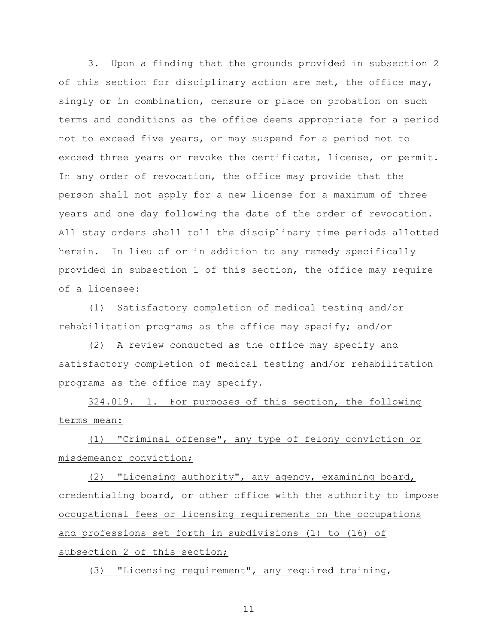3. Upon a finding that the grounds provided in subsection 2 of this section for disciplinary action are met, the office may, singly or in combination, censure or place on probation on such terms and conditions as the office deems appropriate for a period not to exceed five years, or may suspend for a period not to exceed three years or revoke the certificate, license, or permit. In any order of revocation, the office may provide that the person shall not apply for a new license for a maximum of three years and one day following the date of the order of revocation. All stay orders shall toll the disciplinary time periods allotted herein. In lieu of or in addition to any remedy specifically provided in subsection 1 of this section, the office may require of a licensee:

(1) Satisfactory completion of medical testing and/or rehabilitation programs as the office may specify; and/or

(2) A review conducted as the office may specify and satisfactory completion of medical testing and/or rehabilitation programs as the office may specify.

324.019. 1. For purposes of this section, the following terms mean:

(1) "Criminal offense", any type of felony conviction or misdemeanor conviction;

(2) "Licensing authority", any agency, examining board, credentialing board, or other office with the authority to impose occupational fees or licensing requirements on the occupations and professions set forth in subdivisions (1) to (16) of subsection 2 of this section;

(3) "Licensing requirement", any required training,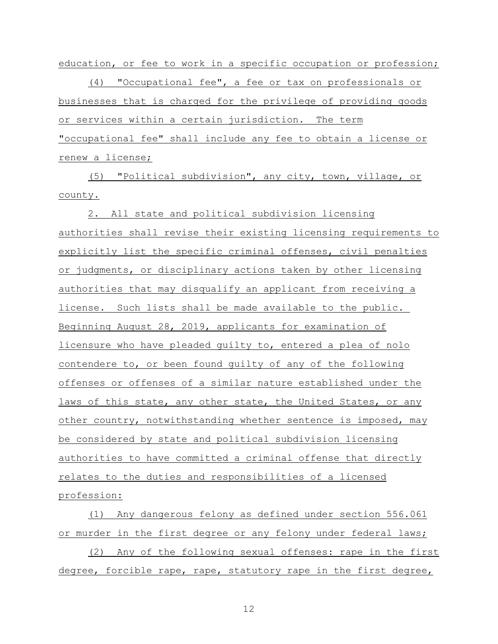education, or fee to work in a specific occupation or profession;

(4) "Occupational fee", a fee or tax on professionals or businesses that is charged for the privilege of providing goods or services within a certain jurisdiction. The term "occupational fee" shall include any fee to obtain a license or renew a license;

(5) "Political subdivision", any city, town, village, or county.

2. All state and political subdivision licensing authorities shall revise their existing licensing requirements to explicitly list the specific criminal offenses, civil penalties or judgments, or disciplinary actions taken by other licensing authorities that may disqualify an applicant from receiving a license. Such lists shall be made available to the public. Beginning August 28, 2019, applicants for examination of licensure who have pleaded guilty to, entered a plea of nolo contendere to, or been found guilty of any of the following offenses or offenses of a similar nature established under the laws of this state, any other state, the United States, or any other country, notwithstanding whether sentence is imposed, may be considered by state and political subdivision licensing authorities to have committed a criminal offense that directly relates to the duties and responsibilities of a licensed profession:

(1) Any dangerous felony as defined under section 556.061 or murder in the first degree or any felony under federal laws;

(2) Any of the following sexual offenses: rape in the first degree, forcible rape, rape, statutory rape in the first degree,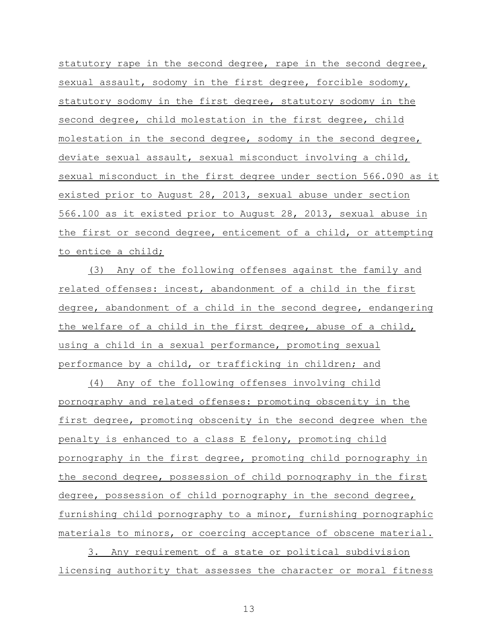statutory rape in the second degree, rape in the second degree, sexual assault, sodomy in the first degree, forcible sodomy, statutory sodomy in the first degree, statutory sodomy in the second degree, child molestation in the first degree, child molestation in the second degree, sodomy in the second degree, deviate sexual assault, sexual misconduct involving a child, sexual misconduct in the first degree under section 566.090 as it existed prior to August 28, 2013, sexual abuse under section 566.100 as it existed prior to August 28, 2013, sexual abuse in the first or second degree, enticement of a child, or attempting to entice a child;

(3) Any of the following offenses against the family and related offenses: incest, abandonment of a child in the first degree, abandonment of a child in the second degree, endangering the welfare of a child in the first degree, abuse of a child, using a child in a sexual performance, promoting sexual performance by a child, or trafficking in children; and

(4) Any of the following offenses involving child pornography and related offenses: promoting obscenity in the first degree, promoting obscenity in the second degree when the penalty is enhanced to a class E felony, promoting child pornography in the first degree, promoting child pornography in the second degree, possession of child pornography in the first degree, possession of child pornography in the second degree, furnishing child pornography to a minor, furnishing pornographic materials to minors, or coercing acceptance of obscene material.

3. Any requirement of a state or political subdivision licensing authority that assesses the character or moral fitness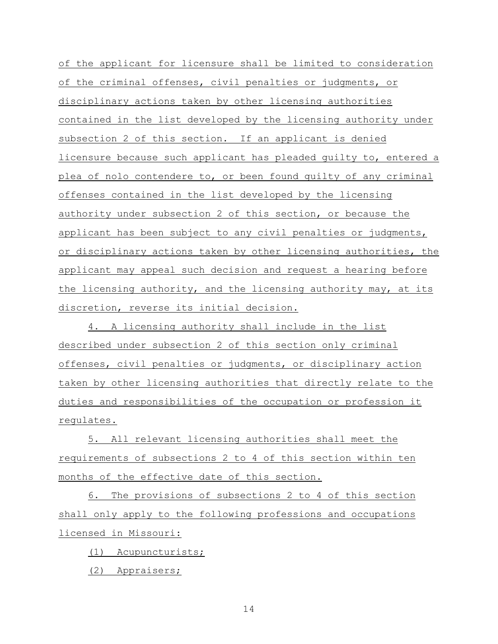of the applicant for licensure shall be limited to consideration of the criminal offenses, civil penalties or judgments, or disciplinary actions taken by other licensing authorities contained in the list developed by the licensing authority under subsection 2 of this section. If an applicant is denied licensure because such applicant has pleaded guilty to, entered a plea of nolo contendere to, or been found guilty of any criminal offenses contained in the list developed by the licensing authority under subsection 2 of this section, or because the applicant has been subject to any civil penalties or judgments, or disciplinary actions taken by other licensing authorities, the applicant may appeal such decision and request a hearing before the licensing authority, and the licensing authority may, at its discretion, reverse its initial decision.

4. A licensing authority shall include in the list described under subsection 2 of this section only criminal offenses, civil penalties or judgments, or disciplinary action taken by other licensing authorities that directly relate to the duties and responsibilities of the occupation or profession it regulates.

5. All relevant licensing authorities shall meet the requirements of subsections 2 to 4 of this section within ten months of the effective date of this section.

6. The provisions of subsections 2 to 4 of this section shall only apply to the following professions and occupations licensed in Missouri:

(1) Acupuncturists;

(2) Appraisers;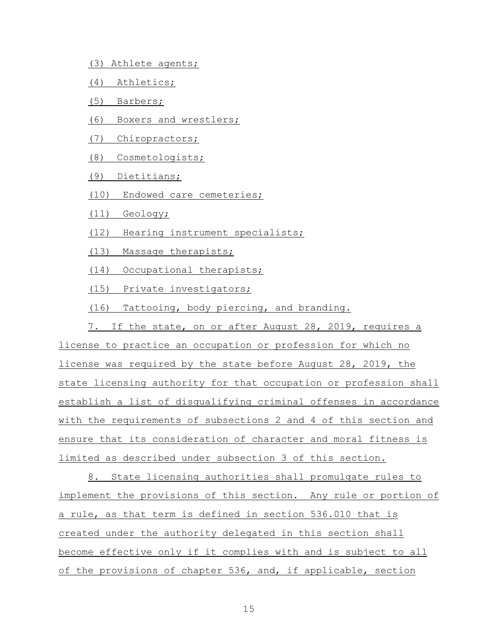- (3) Athlete agents;
- (4) Athletics;
- (5) Barbers;
- (6) Boxers and wrestlers;
- (7) Chiropractors;
- (8) Cosmetologists;
- (9) Dietitians;
- (10) Endowed care cemeteries;
- (11) Geology;
- (12) Hearing instrument specialists;
- (13) Massage therapists;
- (14) Occupational therapists;
- (15) Private investigators;
- (16) Tattooing, body piercing, and branding.

7. If the state, on or after August 28, 2019, requires a license to practice an occupation or profession for which no license was required by the state before August 28, 2019, the state licensing authority for that occupation or profession shall establish a list of disqualifying criminal offenses in accordance with the requirements of subsections 2 and 4 of this section and ensure that its consideration of character and moral fitness is limited as described under subsection 3 of this section.

8. State licensing authorities shall promulgate rules to implement the provisions of this section. Any rule or portion of a rule, as that term is defined in section 536.010 that is created under the authority delegated in this section shall become effective only if it complies with and is subject to all of the provisions of chapter 536, and, if applicable, section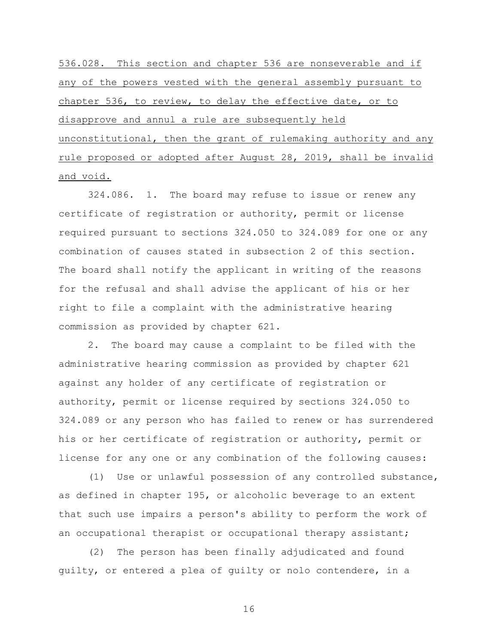536.028. This section and chapter 536 are nonseverable and if any of the powers vested with the general assembly pursuant to chapter 536, to review, to delay the effective date, or to disapprove and annul a rule are subsequently held unconstitutional, then the grant of rulemaking authority and any rule proposed or adopted after August 28, 2019, shall be invalid and void.

324.086. 1. The board may refuse to issue or renew any certificate of registration or authority, permit or license required pursuant to sections 324.050 to 324.089 for one or any combination of causes stated in subsection 2 of this section. The board shall notify the applicant in writing of the reasons for the refusal and shall advise the applicant of his or her right to file a complaint with the administrative hearing commission as provided by chapter 621.

2. The board may cause a complaint to be filed with the administrative hearing commission as provided by chapter 621 against any holder of any certificate of registration or authority, permit or license required by sections 324.050 to 324.089 or any person who has failed to renew or has surrendered his or her certificate of registration or authority, permit or license for any one or any combination of the following causes:

(1) Use or unlawful possession of any controlled substance, as defined in chapter 195, or alcoholic beverage to an extent that such use impairs a person's ability to perform the work of an occupational therapist or occupational therapy assistant;

(2) The person has been finally adjudicated and found guilty, or entered a plea of guilty or nolo contendere, in a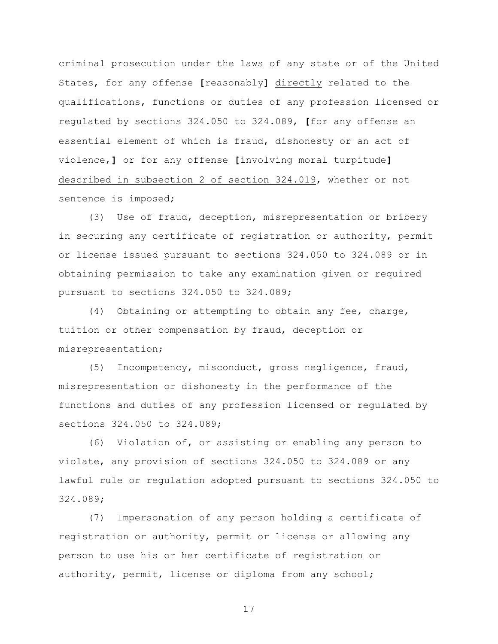criminal prosecution under the laws of any state or of the United States, for any offense **[**reasonably**]** directly related to the qualifications, functions or duties of any profession licensed or regulated by sections 324.050 to 324.089, **[**for any offense an essential element of which is fraud, dishonesty or an act of violence,**]** or for any offense **[**involving moral turpitude**]** described in subsection 2 of section 324.019, whether or not sentence is imposed;

(3) Use of fraud, deception, misrepresentation or bribery in securing any certificate of registration or authority, permit or license issued pursuant to sections 324.050 to 324.089 or in obtaining permission to take any examination given or required pursuant to sections 324.050 to 324.089;

(4) Obtaining or attempting to obtain any fee, charge, tuition or other compensation by fraud, deception or misrepresentation;

(5) Incompetency, misconduct, gross negligence, fraud, misrepresentation or dishonesty in the performance of the functions and duties of any profession licensed or regulated by sections 324.050 to 324.089;

(6) Violation of, or assisting or enabling any person to violate, any provision of sections 324.050 to 324.089 or any lawful rule or regulation adopted pursuant to sections 324.050 to 324.089;

(7) Impersonation of any person holding a certificate of registration or authority, permit or license or allowing any person to use his or her certificate of registration or authority, permit, license or diploma from any school;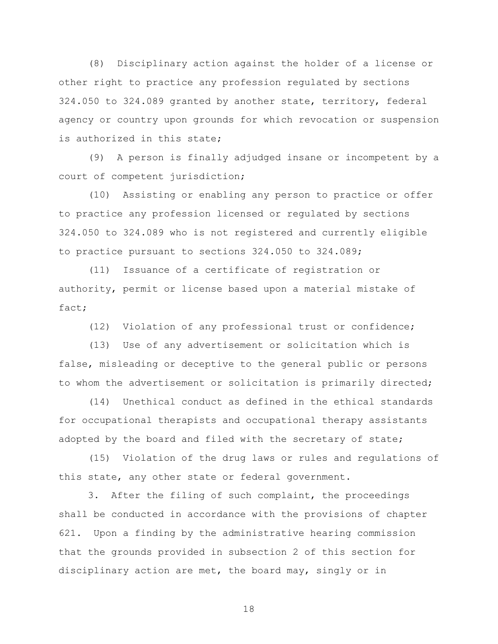(8) Disciplinary action against the holder of a license or other right to practice any profession regulated by sections 324.050 to 324.089 granted by another state, territory, federal agency or country upon grounds for which revocation or suspension is authorized in this state;

(9) A person is finally adjudged insane or incompetent by a court of competent jurisdiction;

(10) Assisting or enabling any person to practice or offer to practice any profession licensed or regulated by sections 324.050 to 324.089 who is not registered and currently eligible to practice pursuant to sections 324.050 to 324.089;

(11) Issuance of a certificate of registration or authority, permit or license based upon a material mistake of fact;

(12) Violation of any professional trust or confidence;

(13) Use of any advertisement or solicitation which is false, misleading or deceptive to the general public or persons to whom the advertisement or solicitation is primarily directed;

(14) Unethical conduct as defined in the ethical standards for occupational therapists and occupational therapy assistants adopted by the board and filed with the secretary of state;

(15) Violation of the drug laws or rules and regulations of this state, any other state or federal government.

3. After the filing of such complaint, the proceedings shall be conducted in accordance with the provisions of chapter 621. Upon a finding by the administrative hearing commission that the grounds provided in subsection 2 of this section for disciplinary action are met, the board may, singly or in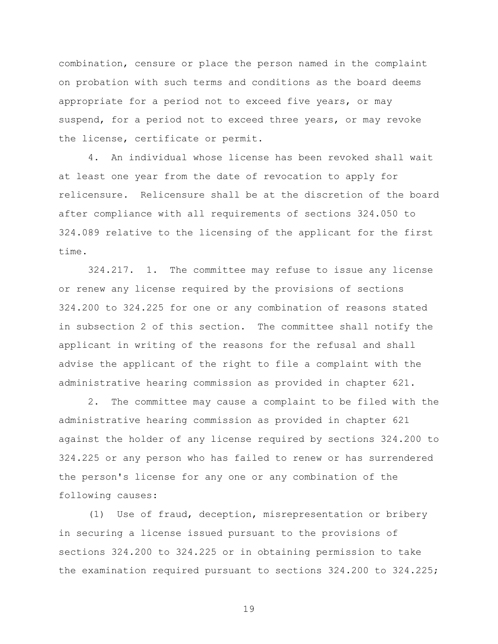combination, censure or place the person named in the complaint on probation with such terms and conditions as the board deems appropriate for a period not to exceed five years, or may suspend, for a period not to exceed three years, or may revoke the license, certificate or permit.

4. An individual whose license has been revoked shall wait at least one year from the date of revocation to apply for relicensure. Relicensure shall be at the discretion of the board after compliance with all requirements of sections 324.050 to 324.089 relative to the licensing of the applicant for the first time.

324.217. 1. The committee may refuse to issue any license or renew any license required by the provisions of sections 324.200 to 324.225 for one or any combination of reasons stated in subsection 2 of this section. The committee shall notify the applicant in writing of the reasons for the refusal and shall advise the applicant of the right to file a complaint with the administrative hearing commission as provided in chapter 621.

2. The committee may cause a complaint to be filed with the administrative hearing commission as provided in chapter 621 against the holder of any license required by sections 324.200 to 324.225 or any person who has failed to renew or has surrendered the person's license for any one or any combination of the following causes:

(1) Use of fraud, deception, misrepresentation or bribery in securing a license issued pursuant to the provisions of sections 324.200 to 324.225 or in obtaining permission to take the examination required pursuant to sections 324.200 to 324.225;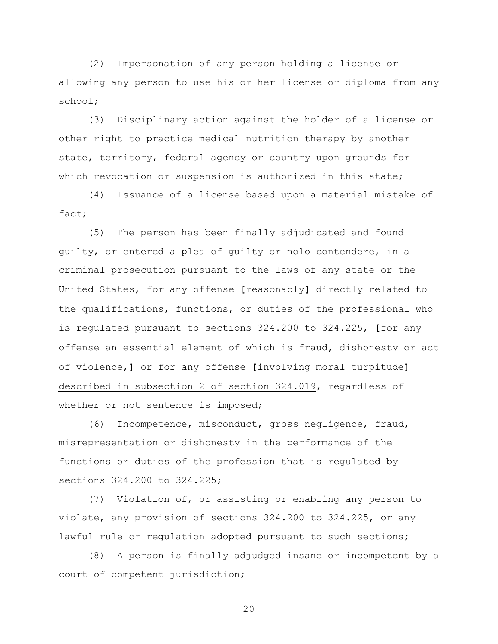(2) Impersonation of any person holding a license or allowing any person to use his or her license or diploma from any school;

(3) Disciplinary action against the holder of a license or other right to practice medical nutrition therapy by another state, territory, federal agency or country upon grounds for which revocation or suspension is authorized in this state;

(4) Issuance of a license based upon a material mistake of fact;

(5) The person has been finally adjudicated and found guilty, or entered a plea of guilty or nolo contendere, in a criminal prosecution pursuant to the laws of any state or the United States, for any offense **[**reasonably**]** directly related to the qualifications, functions, or duties of the professional who is regulated pursuant to sections 324.200 to 324.225, **[**for any offense an essential element of which is fraud, dishonesty or act of violence,**]** or for any offense **[**involving moral turpitude**]** described in subsection 2 of section 324.019, regardless of whether or not sentence is imposed;

(6) Incompetence, misconduct, gross negligence, fraud, misrepresentation or dishonesty in the performance of the functions or duties of the profession that is regulated by sections 324.200 to 324.225;

(7) Violation of, or assisting or enabling any person to violate, any provision of sections 324.200 to 324.225, or any lawful rule or regulation adopted pursuant to such sections;

(8) A person is finally adjudged insane or incompetent by a court of competent jurisdiction;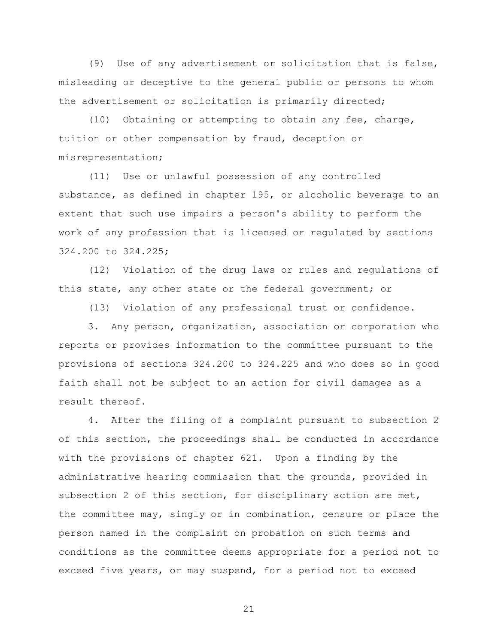(9) Use of any advertisement or solicitation that is false, misleading or deceptive to the general public or persons to whom the advertisement or solicitation is primarily directed;

(10) Obtaining or attempting to obtain any fee, charge, tuition or other compensation by fraud, deception or misrepresentation;

(11) Use or unlawful possession of any controlled substance, as defined in chapter 195, or alcoholic beverage to an extent that such use impairs a person's ability to perform the work of any profession that is licensed or regulated by sections 324.200 to 324.225;

(12) Violation of the drug laws or rules and regulations of this state, any other state or the federal government; or

(13) Violation of any professional trust or confidence.

3. Any person, organization, association or corporation who reports or provides information to the committee pursuant to the provisions of sections 324.200 to 324.225 and who does so in good faith shall not be subject to an action for civil damages as a result thereof.

4. After the filing of a complaint pursuant to subsection 2 of this section, the proceedings shall be conducted in accordance with the provisions of chapter 621. Upon a finding by the administrative hearing commission that the grounds, provided in subsection 2 of this section, for disciplinary action are met, the committee may, singly or in combination, censure or place the person named in the complaint on probation on such terms and conditions as the committee deems appropriate for a period not to exceed five years, or may suspend, for a period not to exceed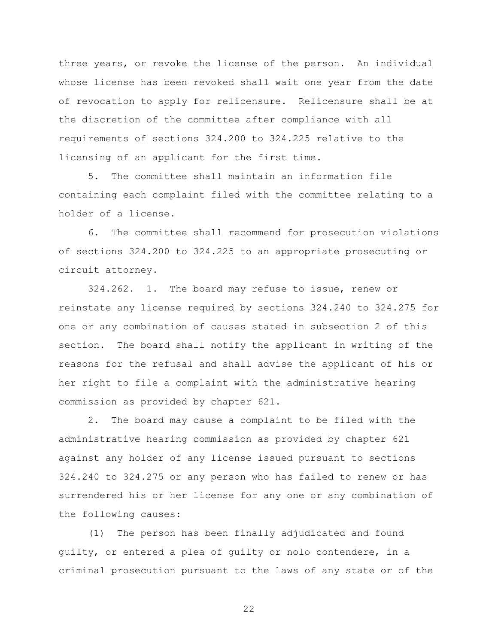three years, or revoke the license of the person. An individual whose license has been revoked shall wait one year from the date of revocation to apply for relicensure. Relicensure shall be at the discretion of the committee after compliance with all requirements of sections 324.200 to 324.225 relative to the licensing of an applicant for the first time.

5. The committee shall maintain an information file containing each complaint filed with the committee relating to a holder of a license.

6. The committee shall recommend for prosecution violations of sections 324.200 to 324.225 to an appropriate prosecuting or circuit attorney.

324.262. 1. The board may refuse to issue, renew or reinstate any license required by sections 324.240 to 324.275 for one or any combination of causes stated in subsection 2 of this section. The board shall notify the applicant in writing of the reasons for the refusal and shall advise the applicant of his or her right to file a complaint with the administrative hearing commission as provided by chapter 621.

2. The board may cause a complaint to be filed with the administrative hearing commission as provided by chapter 621 against any holder of any license issued pursuant to sections 324.240 to 324.275 or any person who has failed to renew or has surrendered his or her license for any one or any combination of the following causes:

(1) The person has been finally adjudicated and found guilty, or entered a plea of guilty or nolo contendere, in a criminal prosecution pursuant to the laws of any state or of the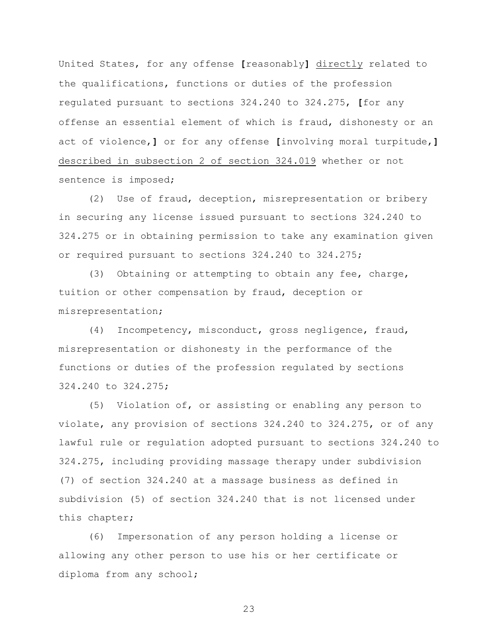United States, for any offense **[**reasonably**]** directly related to the qualifications, functions or duties of the profession regulated pursuant to sections 324.240 to 324.275, **[**for any offense an essential element of which is fraud, dishonesty or an act of violence,**]** or for any offense **[**involving moral turpitude,**]** described in subsection 2 of section 324.019 whether or not sentence is imposed;

(2) Use of fraud, deception, misrepresentation or bribery in securing any license issued pursuant to sections 324.240 to 324.275 or in obtaining permission to take any examination given or required pursuant to sections 324.240 to 324.275;

(3) Obtaining or attempting to obtain any fee, charge, tuition or other compensation by fraud, deception or misrepresentation;

(4) Incompetency, misconduct, gross negligence, fraud, misrepresentation or dishonesty in the performance of the functions or duties of the profession regulated by sections 324.240 to 324.275;

(5) Violation of, or assisting or enabling any person to violate, any provision of sections 324.240 to 324.275, or of any lawful rule or regulation adopted pursuant to sections 324.240 to 324.275, including providing massage therapy under subdivision (7) of section 324.240 at a massage business as defined in subdivision (5) of section 324.240 that is not licensed under this chapter;

(6) Impersonation of any person holding a license or allowing any other person to use his or her certificate or diploma from any school;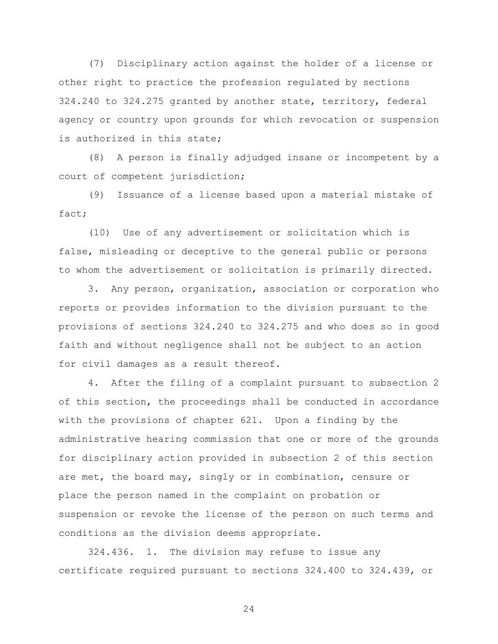(7) Disciplinary action against the holder of a license or other right to practice the profession regulated by sections 324.240 to 324.275 granted by another state, territory, federal agency or country upon grounds for which revocation or suspension is authorized in this state;

(8) A person is finally adjudged insane or incompetent by a court of competent jurisdiction;

(9) Issuance of a license based upon a material mistake of fact;

(10) Use of any advertisement or solicitation which is false, misleading or deceptive to the general public or persons to whom the advertisement or solicitation is primarily directed.

3. Any person, organization, association or corporation who reports or provides information to the division pursuant to the provisions of sections 324.240 to 324.275 and who does so in good faith and without negligence shall not be subject to an action for civil damages as a result thereof.

4. After the filing of a complaint pursuant to subsection 2 of this section, the proceedings shall be conducted in accordance with the provisions of chapter 621. Upon a finding by the administrative hearing commission that one or more of the grounds for disciplinary action provided in subsection 2 of this section are met, the board may, singly or in combination, censure or place the person named in the complaint on probation or suspension or revoke the license of the person on such terms and conditions as the division deems appropriate.

324.436. 1. The division may refuse to issue any certificate required pursuant to sections 324.400 to 324.439, or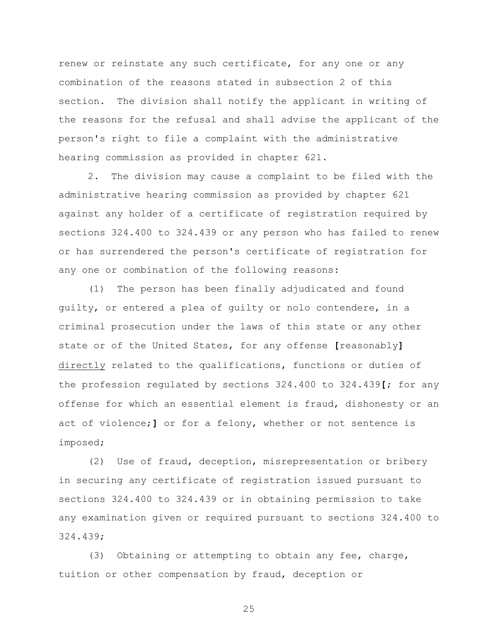renew or reinstate any such certificate, for any one or any combination of the reasons stated in subsection 2 of this section. The division shall notify the applicant in writing of the reasons for the refusal and shall advise the applicant of the person's right to file a complaint with the administrative hearing commission as provided in chapter 621.

2. The division may cause a complaint to be filed with the administrative hearing commission as provided by chapter 621 against any holder of a certificate of registration required by sections 324.400 to 324.439 or any person who has failed to renew or has surrendered the person's certificate of registration for any one or combination of the following reasons:

(1) The person has been finally adjudicated and found guilty, or entered a plea of guilty or nolo contendere, in a criminal prosecution under the laws of this state or any other state or of the United States, for any offense **[**reasonably**]** directly related to the qualifications, functions or duties of the profession regulated by sections 324.400 to 324.439**[**; for any offense for which an essential element is fraud, dishonesty or an act of violence;**]** or for a felony, whether or not sentence is imposed;

(2) Use of fraud, deception, misrepresentation or bribery in securing any certificate of registration issued pursuant to sections 324.400 to 324.439 or in obtaining permission to take any examination given or required pursuant to sections 324.400 to 324.439;

(3) Obtaining or attempting to obtain any fee, charge, tuition or other compensation by fraud, deception or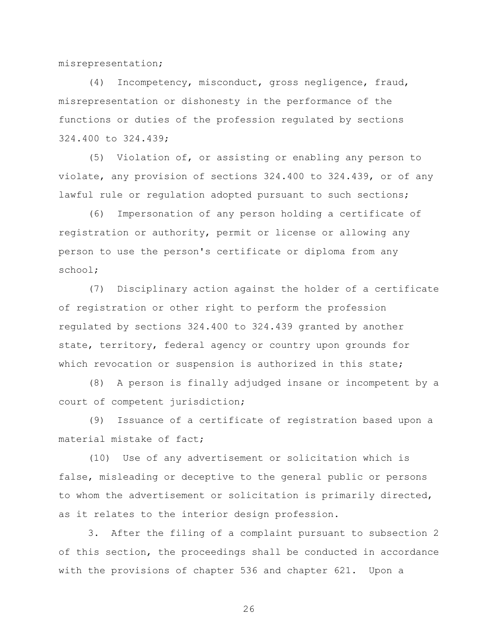misrepresentation;

(4) Incompetency, misconduct, gross negligence, fraud, misrepresentation or dishonesty in the performance of the functions or duties of the profession regulated by sections 324.400 to 324.439;

(5) Violation of, or assisting or enabling any person to violate, any provision of sections 324.400 to 324.439, or of any lawful rule or requlation adopted pursuant to such sections;

(6) Impersonation of any person holding a certificate of registration or authority, permit or license or allowing any person to use the person's certificate or diploma from any school;

(7) Disciplinary action against the holder of a certificate of registration or other right to perform the profession regulated by sections 324.400 to 324.439 granted by another state, territory, federal agency or country upon grounds for which revocation or suspension is authorized in this state;

(8) A person is finally adjudged insane or incompetent by a court of competent jurisdiction;

(9) Issuance of a certificate of registration based upon a material mistake of fact;

(10) Use of any advertisement or solicitation which is false, misleading or deceptive to the general public or persons to whom the advertisement or solicitation is primarily directed, as it relates to the interior design profession.

3. After the filing of a complaint pursuant to subsection 2 of this section, the proceedings shall be conducted in accordance with the provisions of chapter 536 and chapter 621. Upon a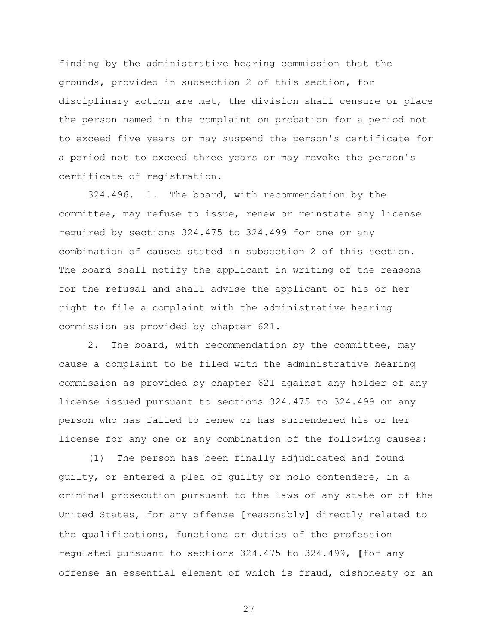finding by the administrative hearing commission that the grounds, provided in subsection 2 of this section, for disciplinary action are met, the division shall censure or place the person named in the complaint on probation for a period not to exceed five years or may suspend the person's certificate for a period not to exceed three years or may revoke the person's certificate of registration.

324.496. 1. The board, with recommendation by the committee, may refuse to issue, renew or reinstate any license required by sections 324.475 to 324.499 for one or any combination of causes stated in subsection 2 of this section. The board shall notify the applicant in writing of the reasons for the refusal and shall advise the applicant of his or her right to file a complaint with the administrative hearing commission as provided by chapter 621.

2. The board, with recommendation by the committee, may cause a complaint to be filed with the administrative hearing commission as provided by chapter 621 against any holder of any license issued pursuant to sections 324.475 to 324.499 or any person who has failed to renew or has surrendered his or her license for any one or any combination of the following causes:

(1) The person has been finally adjudicated and found guilty, or entered a plea of guilty or nolo contendere, in a criminal prosecution pursuant to the laws of any state or of the United States, for any offense **[**reasonably**]** directly related to the qualifications, functions or duties of the profession regulated pursuant to sections 324.475 to 324.499, **[**for any offense an essential element of which is fraud, dishonesty or an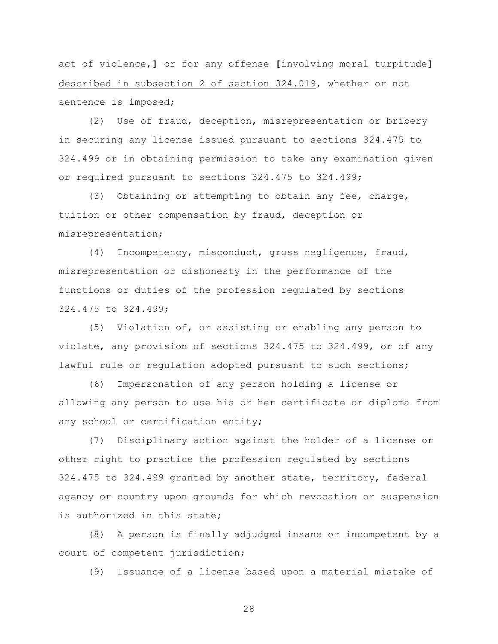act of violence,**]** or for any offense **[**involving moral turpitude**]** described in subsection 2 of section 324.019, whether or not sentence is imposed;

(2) Use of fraud, deception, misrepresentation or bribery in securing any license issued pursuant to sections 324.475 to 324.499 or in obtaining permission to take any examination given or required pursuant to sections 324.475 to 324.499;

(3) Obtaining or attempting to obtain any fee, charge, tuition or other compensation by fraud, deception or misrepresentation;

(4) Incompetency, misconduct, gross negligence, fraud, misrepresentation or dishonesty in the performance of the functions or duties of the profession regulated by sections 324.475 to 324.499;

(5) Violation of, or assisting or enabling any person to violate, any provision of sections 324.475 to 324.499, or of any lawful rule or regulation adopted pursuant to such sections;

(6) Impersonation of any person holding a license or allowing any person to use his or her certificate or diploma from any school or certification entity;

(7) Disciplinary action against the holder of a license or other right to practice the profession regulated by sections 324.475 to 324.499 granted by another state, territory, federal agency or country upon grounds for which revocation or suspension is authorized in this state;

(8) A person is finally adjudged insane or incompetent by a court of competent jurisdiction;

(9) Issuance of a license based upon a material mistake of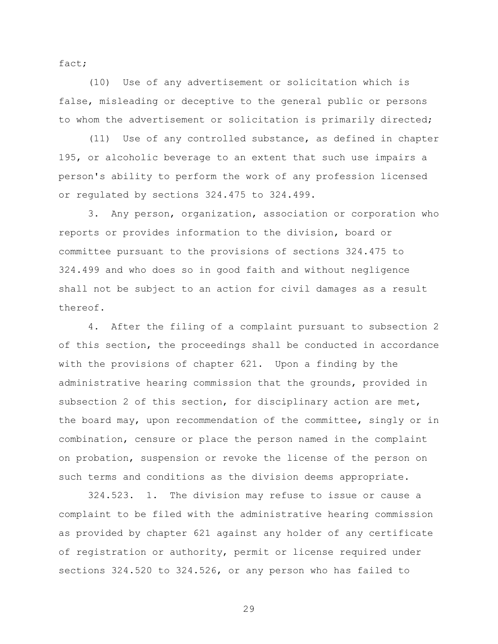fact;

(10) Use of any advertisement or solicitation which is false, misleading or deceptive to the general public or persons to whom the advertisement or solicitation is primarily directed;

(11) Use of any controlled substance, as defined in chapter 195, or alcoholic beverage to an extent that such use impairs a person's ability to perform the work of any profession licensed or regulated by sections 324.475 to 324.499.

3. Any person, organization, association or corporation who reports or provides information to the division, board or committee pursuant to the provisions of sections 324.475 to 324.499 and who does so in good faith and without negligence shall not be subject to an action for civil damages as a result thereof.

4. After the filing of a complaint pursuant to subsection 2 of this section, the proceedings shall be conducted in accordance with the provisions of chapter 621. Upon a finding by the administrative hearing commission that the grounds, provided in subsection 2 of this section, for disciplinary action are met, the board may, upon recommendation of the committee, singly or in combination, censure or place the person named in the complaint on probation, suspension or revoke the license of the person on such terms and conditions as the division deems appropriate.

324.523. 1. The division may refuse to issue or cause a complaint to be filed with the administrative hearing commission as provided by chapter 621 against any holder of any certificate of registration or authority, permit or license required under sections 324.520 to 324.526, or any person who has failed to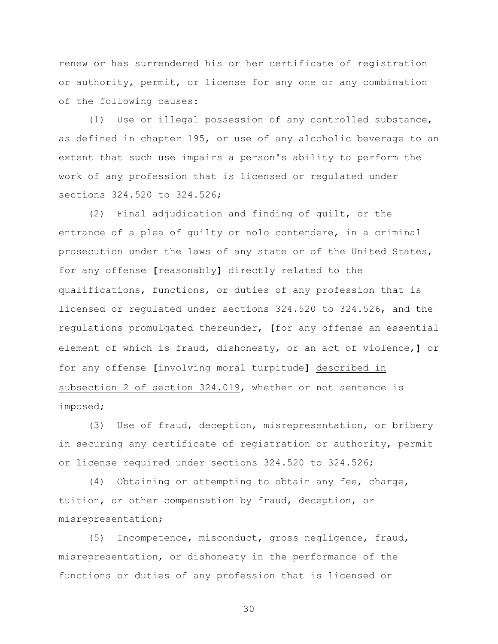renew or has surrendered his or her certificate of registration or authority, permit, or license for any one or any combination of the following causes:

(1) Use or illegal possession of any controlled substance, as defined in chapter 195, or use of any alcoholic beverage to an extent that such use impairs a person's ability to perform the work of any profession that is licensed or regulated under sections 324.520 to 324.526;

(2) Final adjudication and finding of guilt, or the entrance of a plea of guilty or nolo contendere, in a criminal prosecution under the laws of any state or of the United States, for any offense **[**reasonably**]** directly related to the qualifications, functions, or duties of any profession that is licensed or regulated under sections 324.520 to 324.526, and the regulations promulgated thereunder, **[**for any offense an essential element of which is fraud, dishonesty, or an act of violence,**]** or for any offense **[**involving moral turpitude**]** described in subsection 2 of section 324.019, whether or not sentence is imposed;

(3) Use of fraud, deception, misrepresentation, or bribery in securing any certificate of registration or authority, permit or license required under sections 324.520 to 324.526;

(4) Obtaining or attempting to obtain any fee, charge, tuition, or other compensation by fraud, deception, or misrepresentation;

(5) Incompetence, misconduct, gross negligence, fraud, misrepresentation, or dishonesty in the performance of the functions or duties of any profession that is licensed or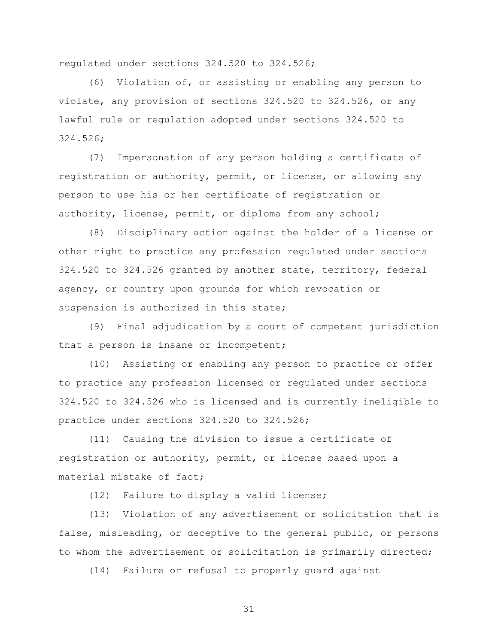regulated under sections 324.520 to 324.526;

(6) Violation of, or assisting or enabling any person to violate, any provision of sections 324.520 to 324.526, or any lawful rule or regulation adopted under sections 324.520 to 324.526;

(7) Impersonation of any person holding a certificate of registration or authority, permit, or license, or allowing any person to use his or her certificate of registration or authority, license, permit, or diploma from any school;

(8) Disciplinary action against the holder of a license or other right to practice any profession regulated under sections 324.520 to 324.526 granted by another state, territory, federal agency, or country upon grounds for which revocation or suspension is authorized in this state;

(9) Final adjudication by a court of competent jurisdiction that a person is insane or incompetent;

(10) Assisting or enabling any person to practice or offer to practice any profession licensed or regulated under sections 324.520 to 324.526 who is licensed and is currently ineligible to practice under sections 324.520 to 324.526;

(11) Causing the division to issue a certificate of registration or authority, permit, or license based upon a material mistake of fact;

(12) Failure to display a valid license;

(13) Violation of any advertisement or solicitation that is false, misleading, or deceptive to the general public, or persons to whom the advertisement or solicitation is primarily directed;

(14) Failure or refusal to properly guard against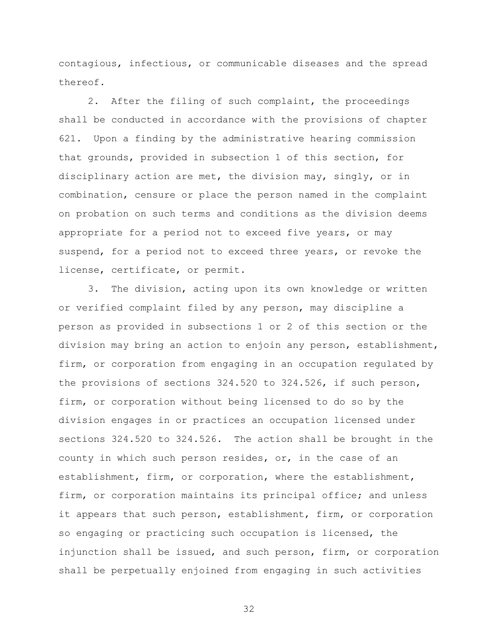contagious, infectious, or communicable diseases and the spread thereof.

2. After the filing of such complaint, the proceedings shall be conducted in accordance with the provisions of chapter 621. Upon a finding by the administrative hearing commission that grounds, provided in subsection 1 of this section, for disciplinary action are met, the division may, singly, or in combination, censure or place the person named in the complaint on probation on such terms and conditions as the division deems appropriate for a period not to exceed five years, or may suspend, for a period not to exceed three years, or revoke the license, certificate, or permit.

3. The division, acting upon its own knowledge or written or verified complaint filed by any person, may discipline a person as provided in subsections 1 or 2 of this section or the division may bring an action to enjoin any person, establishment, firm, or corporation from engaging in an occupation regulated by the provisions of sections 324.520 to 324.526, if such person, firm, or corporation without being licensed to do so by the division engages in or practices an occupation licensed under sections 324.520 to 324.526. The action shall be brought in the county in which such person resides, or, in the case of an establishment, firm, or corporation, where the establishment, firm, or corporation maintains its principal office; and unless it appears that such person, establishment, firm, or corporation so engaging or practicing such occupation is licensed, the injunction shall be issued, and such person, firm, or corporation shall be perpetually enjoined from engaging in such activities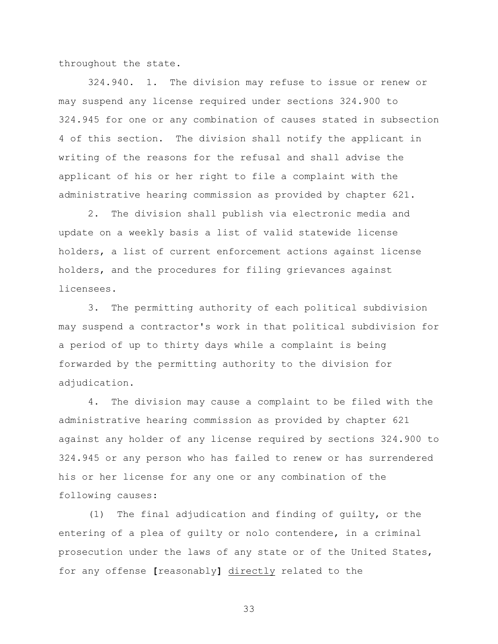throughout the state.

324.940. 1. The division may refuse to issue or renew or may suspend any license required under sections 324.900 to 324.945 for one or any combination of causes stated in subsection 4 of this section. The division shall notify the applicant in writing of the reasons for the refusal and shall advise the applicant of his or her right to file a complaint with the administrative hearing commission as provided by chapter 621.

2. The division shall publish via electronic media and update on a weekly basis a list of valid statewide license holders, a list of current enforcement actions against license holders, and the procedures for filing grievances against licensees.

3. The permitting authority of each political subdivision may suspend a contractor's work in that political subdivision for a period of up to thirty days while a complaint is being forwarded by the permitting authority to the division for adjudication.

4. The division may cause a complaint to be filed with the administrative hearing commission as provided by chapter 621 against any holder of any license required by sections 324.900 to 324.945 or any person who has failed to renew or has surrendered his or her license for any one or any combination of the following causes:

(1) The final adjudication and finding of guilty, or the entering of a plea of guilty or nolo contendere, in a criminal prosecution under the laws of any state or of the United States, for any offense **[**reasonably**]** directly related to the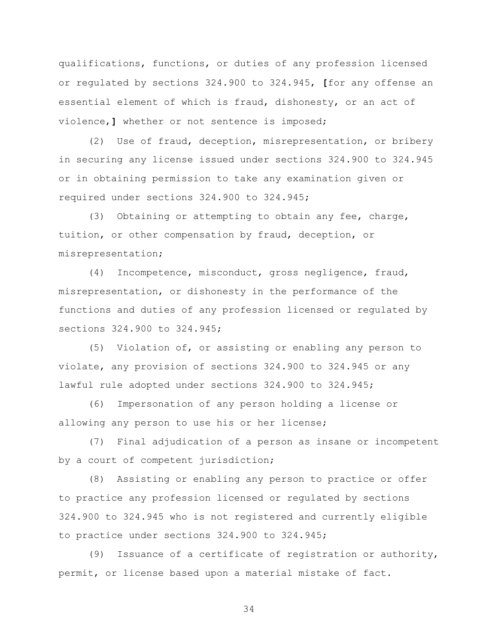qualifications, functions, or duties of any profession licensed or regulated by sections 324.900 to 324.945, **[**for any offense an essential element of which is fraud, dishonesty, or an act of violence,**]** whether or not sentence is imposed;

(2) Use of fraud, deception, misrepresentation, or bribery in securing any license issued under sections 324.900 to 324.945 or in obtaining permission to take any examination given or required under sections 324.900 to 324.945;

(3) Obtaining or attempting to obtain any fee, charge, tuition, or other compensation by fraud, deception, or misrepresentation;

(4) Incompetence, misconduct, gross negligence, fraud, misrepresentation, or dishonesty in the performance of the functions and duties of any profession licensed or regulated by sections 324.900 to 324.945;

(5) Violation of, or assisting or enabling any person to violate, any provision of sections 324.900 to 324.945 or any lawful rule adopted under sections 324.900 to 324.945;

(6) Impersonation of any person holding a license or allowing any person to use his or her license;

(7) Final adjudication of a person as insane or incompetent by a court of competent jurisdiction;

(8) Assisting or enabling any person to practice or offer to practice any profession licensed or regulated by sections 324.900 to 324.945 who is not registered and currently eligible to practice under sections 324.900 to 324.945;

(9) Issuance of a certificate of registration or authority, permit, or license based upon a material mistake of fact.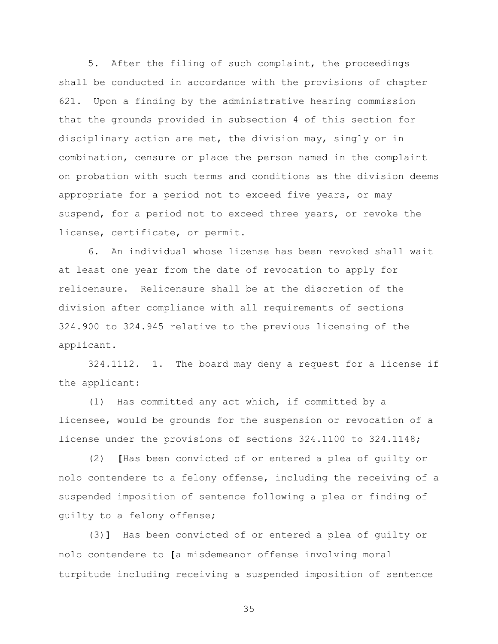5. After the filing of such complaint, the proceedings shall be conducted in accordance with the provisions of chapter 621. Upon a finding by the administrative hearing commission that the grounds provided in subsection 4 of this section for disciplinary action are met, the division may, singly or in combination, censure or place the person named in the complaint on probation with such terms and conditions as the division deems appropriate for a period not to exceed five years, or may suspend, for a period not to exceed three years, or revoke the license, certificate, or permit.

6. An individual whose license has been revoked shall wait at least one year from the date of revocation to apply for relicensure. Relicensure shall be at the discretion of the division after compliance with all requirements of sections 324.900 to 324.945 relative to the previous licensing of the applicant.

324.1112. 1. The board may deny a request for a license if the applicant:

(1) Has committed any act which, if committed by a licensee, would be grounds for the suspension or revocation of a license under the provisions of sections 324.1100 to 324.1148;

(2) **[**Has been convicted of or entered a plea of guilty or nolo contendere to a felony offense, including the receiving of a suspended imposition of sentence following a plea or finding of guilty to a felony offense;

(3)**]** Has been convicted of or entered a plea of guilty or nolo contendere to **[**a misdemeanor offense involving moral turpitude including receiving a suspended imposition of sentence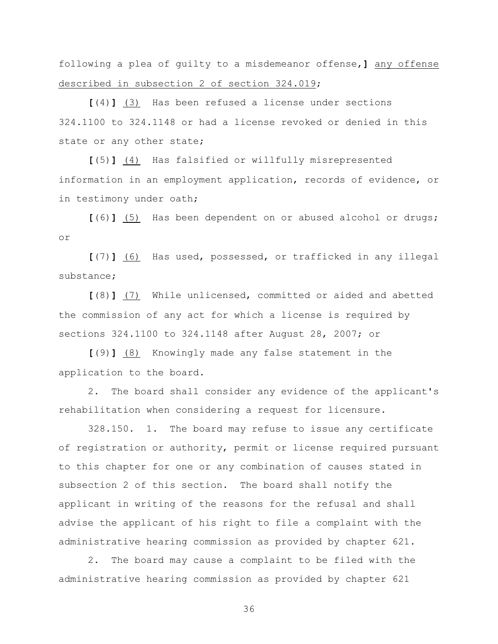following a plea of guilty to a misdemeanor offense,**]** any offense described in subsection 2 of section 324.019;

**[**(4)**]** (3) Has been refused a license under sections 324.1100 to 324.1148 or had a license revoked or denied in this state or any other state;

**[**(5)**]** (4) Has falsified or willfully misrepresented information in an employment application, records of evidence, or in testimony under oath;

**[**(6)**]** (5) Has been dependent on or abused alcohol or drugs; or

**[**(7)**]** (6) Has used, possessed, or trafficked in any illegal substance;

**[**(8)**]** (7) While unlicensed, committed or aided and abetted the commission of any act for which a license is required by sections 324.1100 to 324.1148 after August 28, 2007; or

**[**(9)**]** (8) Knowingly made any false statement in the application to the board.

2. The board shall consider any evidence of the applicant's rehabilitation when considering a request for licensure.

328.150. 1. The board may refuse to issue any certificate of registration or authority, permit or license required pursuant to this chapter for one or any combination of causes stated in subsection 2 of this section. The board shall notify the applicant in writing of the reasons for the refusal and shall advise the applicant of his right to file a complaint with the administrative hearing commission as provided by chapter 621.

2. The board may cause a complaint to be filed with the administrative hearing commission as provided by chapter 621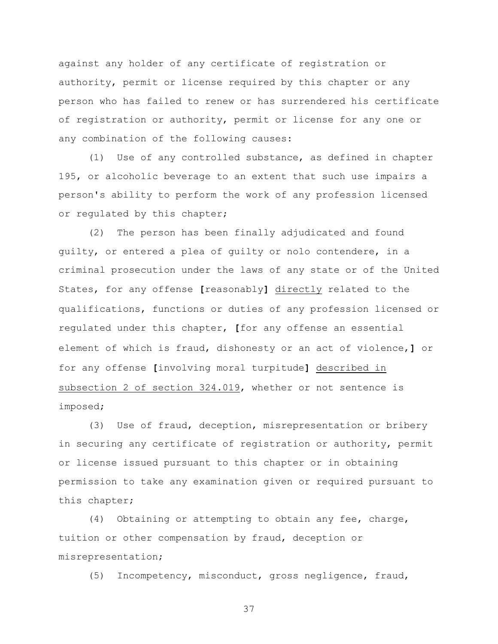against any holder of any certificate of registration or authority, permit or license required by this chapter or any person who has failed to renew or has surrendered his certificate of registration or authority, permit or license for any one or any combination of the following causes:

(1) Use of any controlled substance, as defined in chapter 195, or alcoholic beverage to an extent that such use impairs a person's ability to perform the work of any profession licensed or regulated by this chapter;

(2) The person has been finally adjudicated and found guilty, or entered a plea of guilty or nolo contendere, in a criminal prosecution under the laws of any state or of the United States, for any offense **[**reasonably**]** directly related to the qualifications, functions or duties of any profession licensed or regulated under this chapter, **[**for any offense an essential element of which is fraud, dishonesty or an act of violence,**]** or for any offense **[**involving moral turpitude**]** described in subsection 2 of section 324.019, whether or not sentence is imposed;

(3) Use of fraud, deception, misrepresentation or bribery in securing any certificate of registration or authority, permit or license issued pursuant to this chapter or in obtaining permission to take any examination given or required pursuant to this chapter;

(4) Obtaining or attempting to obtain any fee, charge, tuition or other compensation by fraud, deception or misrepresentation;

(5) Incompetency, misconduct, gross negligence, fraud,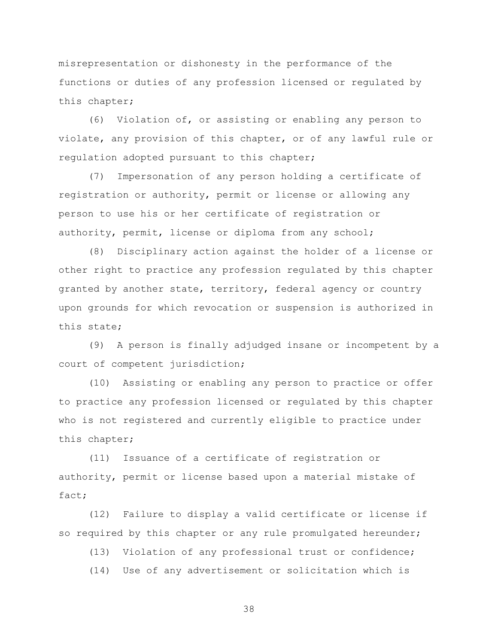misrepresentation or dishonesty in the performance of the functions or duties of any profession licensed or regulated by this chapter;

(6) Violation of, or assisting or enabling any person to violate, any provision of this chapter, or of any lawful rule or regulation adopted pursuant to this chapter;

(7) Impersonation of any person holding a certificate of registration or authority, permit or license or allowing any person to use his or her certificate of registration or authority, permit, license or diploma from any school;

(8) Disciplinary action against the holder of a license or other right to practice any profession regulated by this chapter granted by another state, territory, federal agency or country upon grounds for which revocation or suspension is authorized in this state;

(9) A person is finally adjudged insane or incompetent by a court of competent jurisdiction;

(10) Assisting or enabling any person to practice or offer to practice any profession licensed or regulated by this chapter who is not registered and currently eligible to practice under this chapter;

(11) Issuance of a certificate of registration or authority, permit or license based upon a material mistake of fact;

(12) Failure to display a valid certificate or license if so required by this chapter or any rule promulgated hereunder;

(13) Violation of any professional trust or confidence;

(14) Use of any advertisement or solicitation which is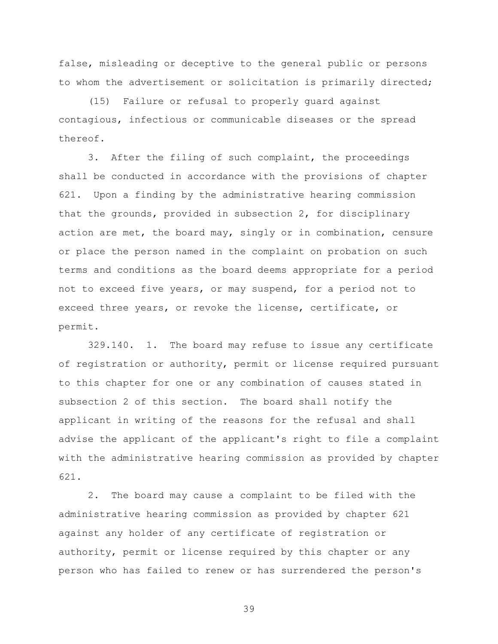false, misleading or deceptive to the general public or persons to whom the advertisement or solicitation is primarily directed;

(15) Failure or refusal to properly guard against contagious, infectious or communicable diseases or the spread thereof.

3. After the filing of such complaint, the proceedings shall be conducted in accordance with the provisions of chapter 621. Upon a finding by the administrative hearing commission that the grounds, provided in subsection 2, for disciplinary action are met, the board may, singly or in combination, censure or place the person named in the complaint on probation on such terms and conditions as the board deems appropriate for a period not to exceed five years, or may suspend, for a period not to exceed three years, or revoke the license, certificate, or permit.

329.140. 1. The board may refuse to issue any certificate of registration or authority, permit or license required pursuant to this chapter for one or any combination of causes stated in subsection 2 of this section. The board shall notify the applicant in writing of the reasons for the refusal and shall advise the applicant of the applicant's right to file a complaint with the administrative hearing commission as provided by chapter 621.

2. The board may cause a complaint to be filed with the administrative hearing commission as provided by chapter 621 against any holder of any certificate of registration or authority, permit or license required by this chapter or any person who has failed to renew or has surrendered the person's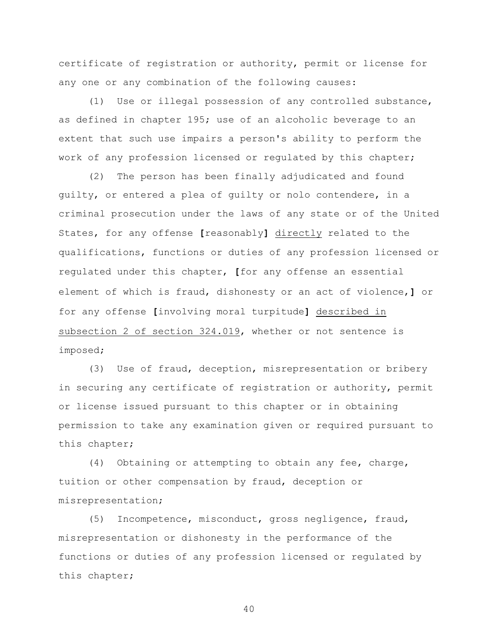certificate of registration or authority, permit or license for any one or any combination of the following causes:

(1) Use or illegal possession of any controlled substance, as defined in chapter 195; use of an alcoholic beverage to an extent that such use impairs a person's ability to perform the work of any profession licensed or regulated by this chapter;

(2) The person has been finally adjudicated and found guilty, or entered a plea of guilty or nolo contendere, in a criminal prosecution under the laws of any state or of the United States, for any offense **[**reasonably**]** directly related to the qualifications, functions or duties of any profession licensed or regulated under this chapter, **[**for any offense an essential element of which is fraud, dishonesty or an act of violence,**]** or for any offense **[**involving moral turpitude**]** described in subsection 2 of section 324.019, whether or not sentence is imposed;

(3) Use of fraud, deception, misrepresentation or bribery in securing any certificate of registration or authority, permit or license issued pursuant to this chapter or in obtaining permission to take any examination given or required pursuant to this chapter;

(4) Obtaining or attempting to obtain any fee, charge, tuition or other compensation by fraud, deception or misrepresentation;

(5) Incompetence, misconduct, gross negligence, fraud, misrepresentation or dishonesty in the performance of the functions or duties of any profession licensed or regulated by this chapter;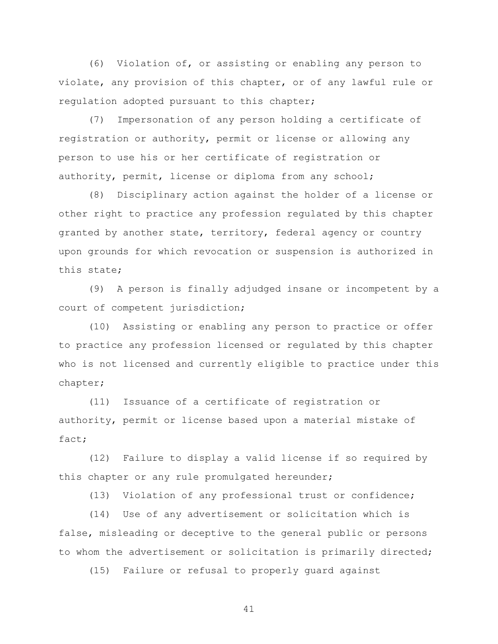(6) Violation of, or assisting or enabling any person to violate, any provision of this chapter, or of any lawful rule or regulation adopted pursuant to this chapter;

(7) Impersonation of any person holding a certificate of registration or authority, permit or license or allowing any person to use his or her certificate of registration or authority, permit, license or diploma from any school;

(8) Disciplinary action against the holder of a license or other right to practice any profession regulated by this chapter granted by another state, territory, federal agency or country upon grounds for which revocation or suspension is authorized in this state;

(9) A person is finally adjudged insane or incompetent by a court of competent jurisdiction;

(10) Assisting or enabling any person to practice or offer to practice any profession licensed or regulated by this chapter who is not licensed and currently eligible to practice under this chapter;

(11) Issuance of a certificate of registration or authority, permit or license based upon a material mistake of fact;

(12) Failure to display a valid license if so required by this chapter or any rule promulgated hereunder;

(13) Violation of any professional trust or confidence;

(14) Use of any advertisement or solicitation which is false, misleading or deceptive to the general public or persons to whom the advertisement or solicitation is primarily directed;

(15) Failure or refusal to properly guard against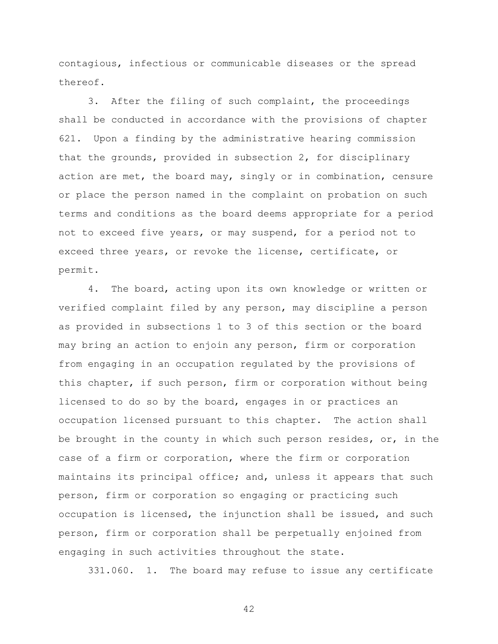contagious, infectious or communicable diseases or the spread thereof.

3. After the filing of such complaint, the proceedings shall be conducted in accordance with the provisions of chapter 621. Upon a finding by the administrative hearing commission that the grounds, provided in subsection 2, for disciplinary action are met, the board may, singly or in combination, censure or place the person named in the complaint on probation on such terms and conditions as the board deems appropriate for a period not to exceed five years, or may suspend, for a period not to exceed three years, or revoke the license, certificate, or permit.

4. The board, acting upon its own knowledge or written or verified complaint filed by any person, may discipline a person as provided in subsections 1 to 3 of this section or the board may bring an action to enjoin any person, firm or corporation from engaging in an occupation regulated by the provisions of this chapter, if such person, firm or corporation without being licensed to do so by the board, engages in or practices an occupation licensed pursuant to this chapter. The action shall be brought in the county in which such person resides, or, in the case of a firm or corporation, where the firm or corporation maintains its principal office; and, unless it appears that such person, firm or corporation so engaging or practicing such occupation is licensed, the injunction shall be issued, and such person, firm or corporation shall be perpetually enjoined from engaging in such activities throughout the state.

331.060. 1. The board may refuse to issue any certificate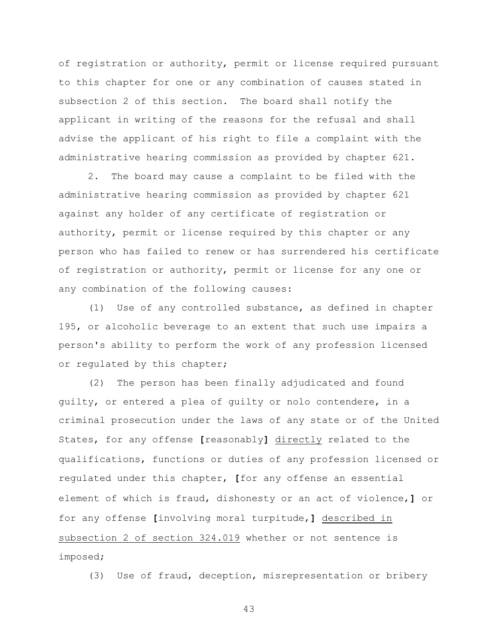of registration or authority, permit or license required pursuant to this chapter for one or any combination of causes stated in subsection 2 of this section. The board shall notify the applicant in writing of the reasons for the refusal and shall advise the applicant of his right to file a complaint with the administrative hearing commission as provided by chapter 621.

2. The board may cause a complaint to be filed with the administrative hearing commission as provided by chapter 621 against any holder of any certificate of registration or authority, permit or license required by this chapter or any person who has failed to renew or has surrendered his certificate of registration or authority, permit or license for any one or any combination of the following causes:

(1) Use of any controlled substance, as defined in chapter 195, or alcoholic beverage to an extent that such use impairs a person's ability to perform the work of any profession licensed or regulated by this chapter;

(2) The person has been finally adjudicated and found guilty, or entered a plea of guilty or nolo contendere, in a criminal prosecution under the laws of any state or of the United States, for any offense **[**reasonably**]** directly related to the qualifications, functions or duties of any profession licensed or regulated under this chapter, **[**for any offense an essential element of which is fraud, dishonesty or an act of violence,**]** or for any offense **[**involving moral turpitude,**]** described in subsection 2 of section 324.019 whether or not sentence is imposed;

(3) Use of fraud, deception, misrepresentation or bribery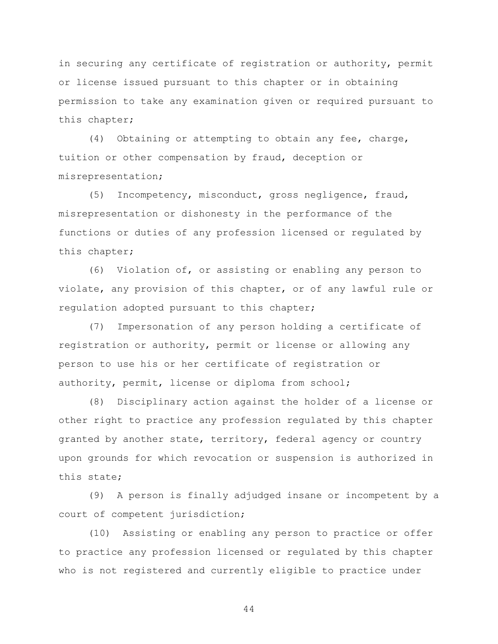in securing any certificate of registration or authority, permit or license issued pursuant to this chapter or in obtaining permission to take any examination given or required pursuant to this chapter;

(4) Obtaining or attempting to obtain any fee, charge, tuition or other compensation by fraud, deception or misrepresentation;

(5) Incompetency, misconduct, gross negligence, fraud, misrepresentation or dishonesty in the performance of the functions or duties of any profession licensed or regulated by this chapter;

(6) Violation of, or assisting or enabling any person to violate, any provision of this chapter, or of any lawful rule or regulation adopted pursuant to this chapter;

(7) Impersonation of any person holding a certificate of registration or authority, permit or license or allowing any person to use his or her certificate of registration or authority, permit, license or diploma from school;

(8) Disciplinary action against the holder of a license or other right to practice any profession regulated by this chapter granted by another state, territory, federal agency or country upon grounds for which revocation or suspension is authorized in this state;

(9) A person is finally adjudged insane or incompetent by a court of competent jurisdiction;

(10) Assisting or enabling any person to practice or offer to practice any profession licensed or regulated by this chapter who is not registered and currently eligible to practice under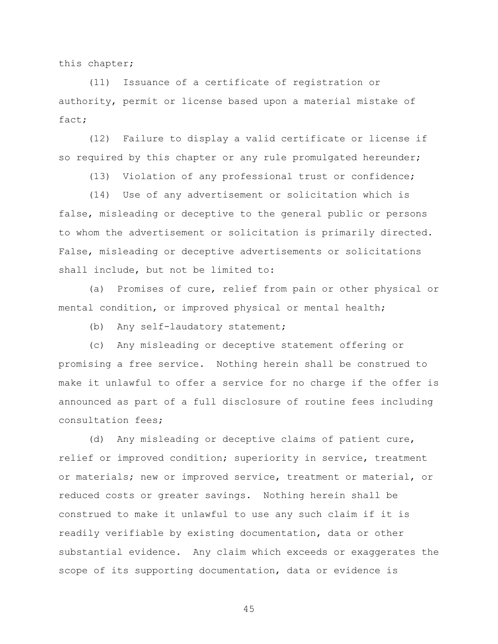this chapter;

(11) Issuance of a certificate of registration or authority, permit or license based upon a material mistake of fact;

(12) Failure to display a valid certificate or license if so required by this chapter or any rule promulgated hereunder;

(13) Violation of any professional trust or confidence;

(14) Use of any advertisement or solicitation which is false, misleading or deceptive to the general public or persons to whom the advertisement or solicitation is primarily directed. False, misleading or deceptive advertisements or solicitations shall include, but not be limited to:

(a) Promises of cure, relief from pain or other physical or mental condition, or improved physical or mental health;

(b) Any self-laudatory statement;

(c) Any misleading or deceptive statement offering or promising a free service. Nothing herein shall be construed to make it unlawful to offer a service for no charge if the offer is announced as part of a full disclosure of routine fees including consultation fees;

(d) Any misleading or deceptive claims of patient cure, relief or improved condition; superiority in service, treatment or materials; new or improved service, treatment or material, or reduced costs or greater savings. Nothing herein shall be construed to make it unlawful to use any such claim if it is readily verifiable by existing documentation, data or other substantial evidence. Any claim which exceeds or exaggerates the scope of its supporting documentation, data or evidence is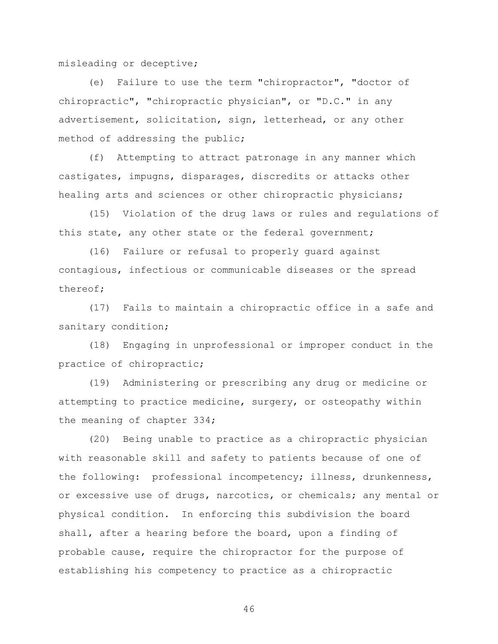misleading or deceptive;

(e) Failure to use the term "chiropractor", "doctor of chiropractic", "chiropractic physician", or "D.C." in any advertisement, solicitation, sign, letterhead, or any other method of addressing the public;

(f) Attempting to attract patronage in any manner which castigates, impugns, disparages, discredits or attacks other healing arts and sciences or other chiropractic physicians;

(15) Violation of the drug laws or rules and regulations of this state, any other state or the federal government;

(16) Failure or refusal to properly guard against contagious, infectious or communicable diseases or the spread thereof;

(17) Fails to maintain a chiropractic office in a safe and sanitary condition;

(18) Engaging in unprofessional or improper conduct in the practice of chiropractic;

(19) Administering or prescribing any drug or medicine or attempting to practice medicine, surgery, or osteopathy within the meaning of chapter 334;

(20) Being unable to practice as a chiropractic physician with reasonable skill and safety to patients because of one of the following: professional incompetency; illness, drunkenness, or excessive use of drugs, narcotics, or chemicals; any mental or physical condition. In enforcing this subdivision the board shall, after a hearing before the board, upon a finding of probable cause, require the chiropractor for the purpose of establishing his competency to practice as a chiropractic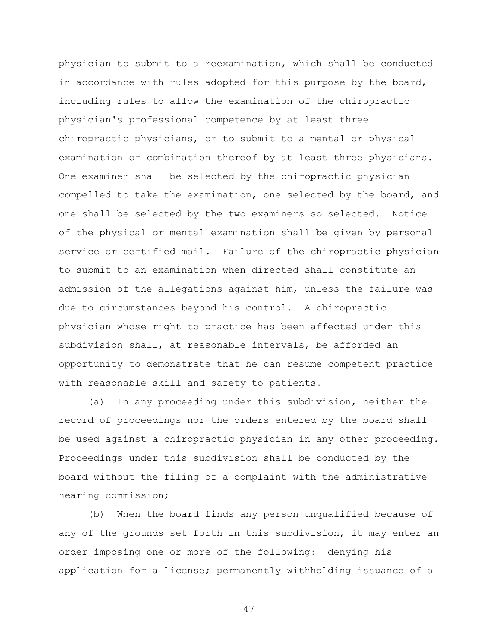physician to submit to a reexamination, which shall be conducted in accordance with rules adopted for this purpose by the board, including rules to allow the examination of the chiropractic physician's professional competence by at least three chiropractic physicians, or to submit to a mental or physical examination or combination thereof by at least three physicians. One examiner shall be selected by the chiropractic physician compelled to take the examination, one selected by the board, and one shall be selected by the two examiners so selected. Notice of the physical or mental examination shall be given by personal service or certified mail. Failure of the chiropractic physician to submit to an examination when directed shall constitute an admission of the allegations against him, unless the failure was due to circumstances beyond his control. A chiropractic physician whose right to practice has been affected under this subdivision shall, at reasonable intervals, be afforded an opportunity to demonstrate that he can resume competent practice with reasonable skill and safety to patients.

(a) In any proceeding under this subdivision, neither the record of proceedings nor the orders entered by the board shall be used against a chiropractic physician in any other proceeding. Proceedings under this subdivision shall be conducted by the board without the filing of a complaint with the administrative hearing commission;

(b) When the board finds any person unqualified because of any of the grounds set forth in this subdivision, it may enter an order imposing one or more of the following: denying his application for a license; permanently withholding issuance of a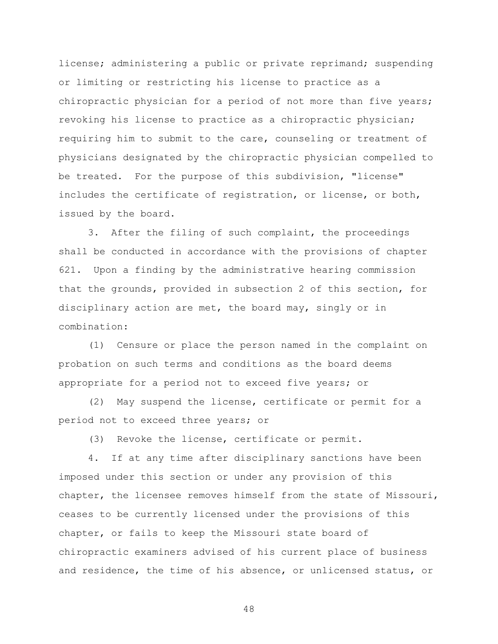license; administering a public or private reprimand; suspending or limiting or restricting his license to practice as a chiropractic physician for a period of not more than five years; revoking his license to practice as a chiropractic physician; requiring him to submit to the care, counseling or treatment of physicians designated by the chiropractic physician compelled to be treated. For the purpose of this subdivision, "license" includes the certificate of registration, or license, or both, issued by the board.

3. After the filing of such complaint, the proceedings shall be conducted in accordance with the provisions of chapter 621. Upon a finding by the administrative hearing commission that the grounds, provided in subsection 2 of this section, for disciplinary action are met, the board may, singly or in combination:

(1) Censure or place the person named in the complaint on probation on such terms and conditions as the board deems appropriate for a period not to exceed five years; or

(2) May suspend the license, certificate or permit for a period not to exceed three years; or

(3) Revoke the license, certificate or permit.

4. If at any time after disciplinary sanctions have been imposed under this section or under any provision of this chapter, the licensee removes himself from the state of Missouri, ceases to be currently licensed under the provisions of this chapter, or fails to keep the Missouri state board of chiropractic examiners advised of his current place of business and residence, the time of his absence, or unlicensed status, or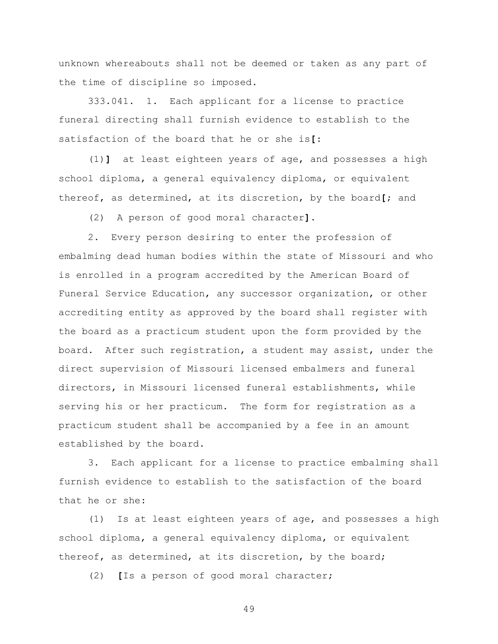unknown whereabouts shall not be deemed or taken as any part of the time of discipline so imposed.

333.041. 1. Each applicant for a license to practice funeral directing shall furnish evidence to establish to the satisfaction of the board that he or she is**[**:

(1)**]** at least eighteen years of age, and possesses a high school diploma, a general equivalency diploma, or equivalent thereof, as determined, at its discretion, by the board**[**; and

(2) A person of good moral character**]**.

2. Every person desiring to enter the profession of embalming dead human bodies within the state of Missouri and who is enrolled in a program accredited by the American Board of Funeral Service Education, any successor organization, or other accrediting entity as approved by the board shall register with the board as a practicum student upon the form provided by the board. After such registration, a student may assist, under the direct supervision of Missouri licensed embalmers and funeral directors, in Missouri licensed funeral establishments, while serving his or her practicum. The form for registration as a practicum student shall be accompanied by a fee in an amount established by the board.

3. Each applicant for a license to practice embalming shall furnish evidence to establish to the satisfaction of the board that he or she:

(1) Is at least eighteen years of age, and possesses a high school diploma, a general equivalency diploma, or equivalent thereof, as determined, at its discretion, by the board;

(2) **[**Is a person of good moral character;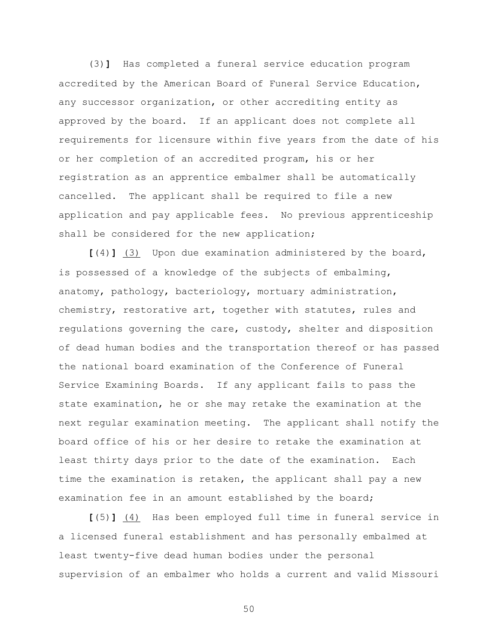(3)**]** Has completed a funeral service education program accredited by the American Board of Funeral Service Education, any successor organization, or other accrediting entity as approved by the board. If an applicant does not complete all requirements for licensure within five years from the date of his or her completion of an accredited program, his or her registration as an apprentice embalmer shall be automatically cancelled. The applicant shall be required to file a new application and pay applicable fees. No previous apprenticeship shall be considered for the new application;

**[**(4)**]** (3) Upon due examination administered by the board, is possessed of a knowledge of the subjects of embalming, anatomy, pathology, bacteriology, mortuary administration, chemistry, restorative art, together with statutes, rules and regulations governing the care, custody, shelter and disposition of dead human bodies and the transportation thereof or has passed the national board examination of the Conference of Funeral Service Examining Boards. If any applicant fails to pass the state examination, he or she may retake the examination at the next regular examination meeting. The applicant shall notify the board office of his or her desire to retake the examination at least thirty days prior to the date of the examination. Each time the examination is retaken, the applicant shall pay a new examination fee in an amount established by the board;

**[**(5)**]** (4) Has been employed full time in funeral service in a licensed funeral establishment and has personally embalmed at least twenty-five dead human bodies under the personal supervision of an embalmer who holds a current and valid Missouri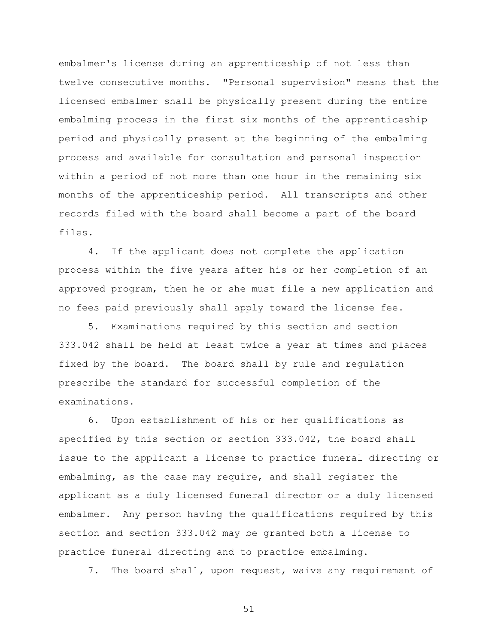embalmer's license during an apprenticeship of not less than twelve consecutive months. "Personal supervision" means that the licensed embalmer shall be physically present during the entire embalming process in the first six months of the apprenticeship period and physically present at the beginning of the embalming process and available for consultation and personal inspection within a period of not more than one hour in the remaining six months of the apprenticeship period. All transcripts and other records filed with the board shall become a part of the board files.

4. If the applicant does not complete the application process within the five years after his or her completion of an approved program, then he or she must file a new application and no fees paid previously shall apply toward the license fee.

5. Examinations required by this section and section 333.042 shall be held at least twice a year at times and places fixed by the board. The board shall by rule and regulation prescribe the standard for successful completion of the examinations.

6. Upon establishment of his or her qualifications as specified by this section or section 333.042, the board shall issue to the applicant a license to practice funeral directing or embalming, as the case may require, and shall register the applicant as a duly licensed funeral director or a duly licensed embalmer. Any person having the qualifications required by this section and section 333.042 may be granted both a license to practice funeral directing and to practice embalming.

7. The board shall, upon request, waive any requirement of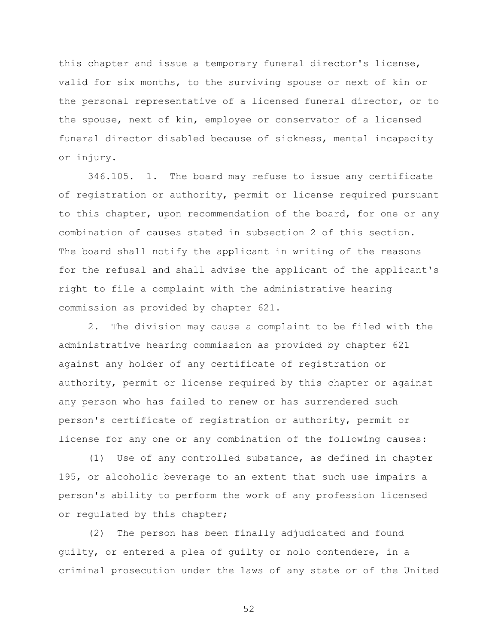this chapter and issue a temporary funeral director's license, valid for six months, to the surviving spouse or next of kin or the personal representative of a licensed funeral director, or to the spouse, next of kin, employee or conservator of a licensed funeral director disabled because of sickness, mental incapacity or injury.

346.105. 1. The board may refuse to issue any certificate of registration or authority, permit or license required pursuant to this chapter, upon recommendation of the board, for one or any combination of causes stated in subsection 2 of this section. The board shall notify the applicant in writing of the reasons for the refusal and shall advise the applicant of the applicant's right to file a complaint with the administrative hearing commission as provided by chapter 621.

2. The division may cause a complaint to be filed with the administrative hearing commission as provided by chapter 621 against any holder of any certificate of registration or authority, permit or license required by this chapter or against any person who has failed to renew or has surrendered such person's certificate of registration or authority, permit or license for any one or any combination of the following causes:

(1) Use of any controlled substance, as defined in chapter 195, or alcoholic beverage to an extent that such use impairs a person's ability to perform the work of any profession licensed or regulated by this chapter;

(2) The person has been finally adjudicated and found guilty, or entered a plea of guilty or nolo contendere, in a criminal prosecution under the laws of any state or of the United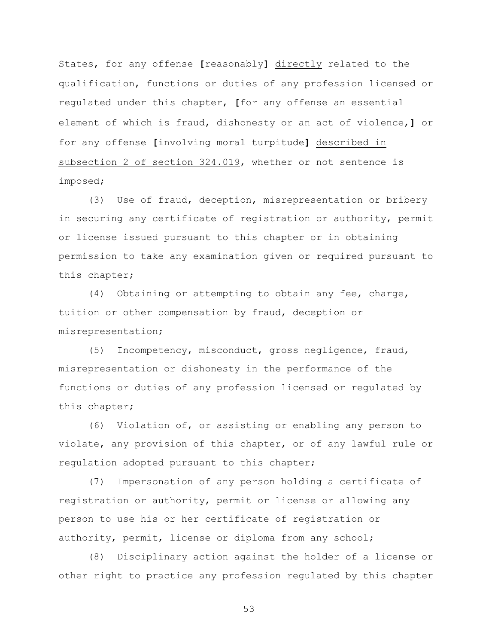States, for any offense **[**reasonably**]** directly related to the qualification, functions or duties of any profession licensed or regulated under this chapter, **[**for any offense an essential element of which is fraud, dishonesty or an act of violence,**]** or for any offense **[**involving moral turpitude**]** described in subsection 2 of section 324.019, whether or not sentence is imposed;

(3) Use of fraud, deception, misrepresentation or bribery in securing any certificate of registration or authority, permit or license issued pursuant to this chapter or in obtaining permission to take any examination given or required pursuant to this chapter;

(4) Obtaining or attempting to obtain any fee, charge, tuition or other compensation by fraud, deception or misrepresentation;

(5) Incompetency, misconduct, gross negligence, fraud, misrepresentation or dishonesty in the performance of the functions or duties of any profession licensed or regulated by this chapter;

(6) Violation of, or assisting or enabling any person to violate, any provision of this chapter, or of any lawful rule or regulation adopted pursuant to this chapter;

(7) Impersonation of any person holding a certificate of registration or authority, permit or license or allowing any person to use his or her certificate of registration or authority, permit, license or diploma from any school;

(8) Disciplinary action against the holder of a license or other right to practice any profession regulated by this chapter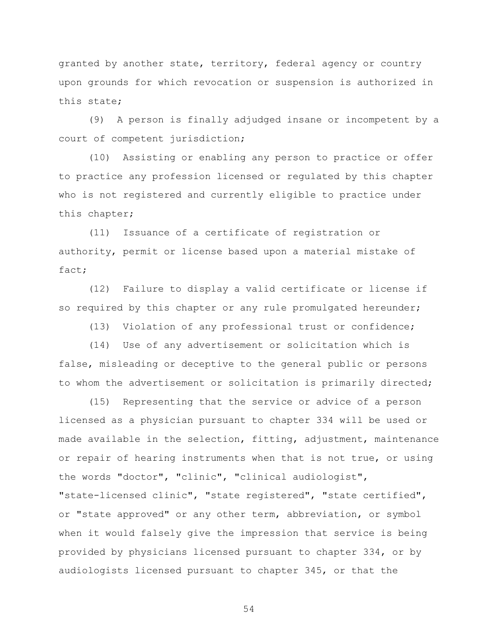granted by another state, territory, federal agency or country upon grounds for which revocation or suspension is authorized in this state;

(9) A person is finally adjudged insane or incompetent by a court of competent jurisdiction;

(10) Assisting or enabling any person to practice or offer to practice any profession licensed or regulated by this chapter who is not registered and currently eligible to practice under this chapter;

(11) Issuance of a certificate of registration or authority, permit or license based upon a material mistake of fact;

(12) Failure to display a valid certificate or license if so required by this chapter or any rule promulgated hereunder;

(13) Violation of any professional trust or confidence;

(14) Use of any advertisement or solicitation which is false, misleading or deceptive to the general public or persons to whom the advertisement or solicitation is primarily directed;

(15) Representing that the service or advice of a person licensed as a physician pursuant to chapter 334 will be used or made available in the selection, fitting, adjustment, maintenance or repair of hearing instruments when that is not true, or using the words "doctor", "clinic", "clinical audiologist", "state-licensed clinic", "state registered", "state certified", or "state approved" or any other term, abbreviation, or symbol when it would falsely give the impression that service is being provided by physicians licensed pursuant to chapter 334, or by audiologists licensed pursuant to chapter 345, or that the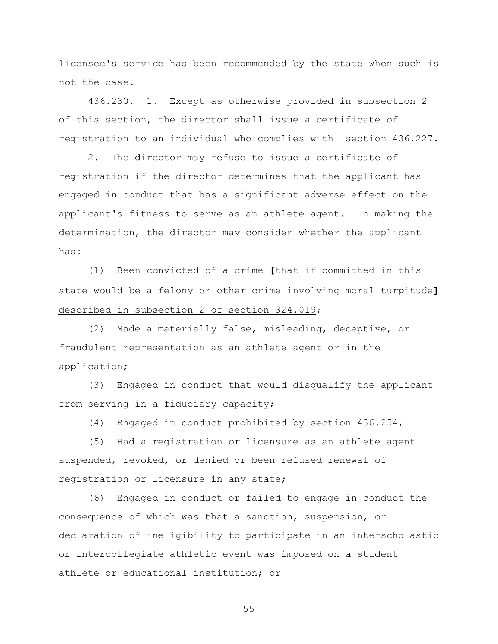licensee's service has been recommended by the state when such is not the case.

436.230. 1. Except as otherwise provided in subsection 2 of this section, the director shall issue a certificate of registration to an individual who complies with section 436.227.

2. The director may refuse to issue a certificate of registration if the director determines that the applicant has engaged in conduct that has a significant adverse effect on the applicant's fitness to serve as an athlete agent. In making the determination, the director may consider whether the applicant has:

(1) Been convicted of a crime **[**that if committed in this state would be a felony or other crime involving moral turpitude**]** described in subsection 2 of section 324.019;

(2) Made a materially false, misleading, deceptive, or fraudulent representation as an athlete agent or in the application;

(3) Engaged in conduct that would disqualify the applicant from serving in a fiduciary capacity;

(4) Engaged in conduct prohibited by section 436.254;

(5) Had a registration or licensure as an athlete agent suspended, revoked, or denied or been refused renewal of registration or licensure in any state;

(6) Engaged in conduct or failed to engage in conduct the consequence of which was that a sanction, suspension, or declaration of ineligibility to participate in an interscholastic or intercollegiate athletic event was imposed on a student athlete or educational institution; or